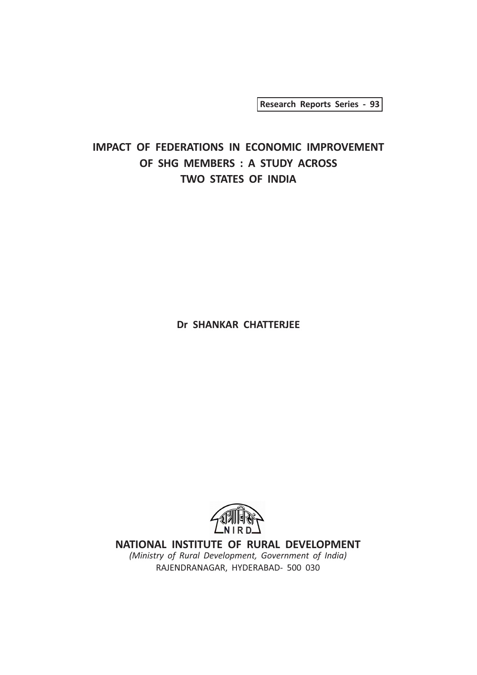Research Reports Series - 93

# IMPACT OF FEDERATIONS IN ECONOMIC IMPROVEMENT OF SHG MEMBERS : A STUDY ACROSS TWO STATES OF INDIA

Dr SHANKAR CHATTERJEE



NATIONAL INSTITUTE OF RURAL DEVELOPMENT (Ministry of Rural Development, Government of India) RAJENDRANAGAR, HYDERABAD- 500 030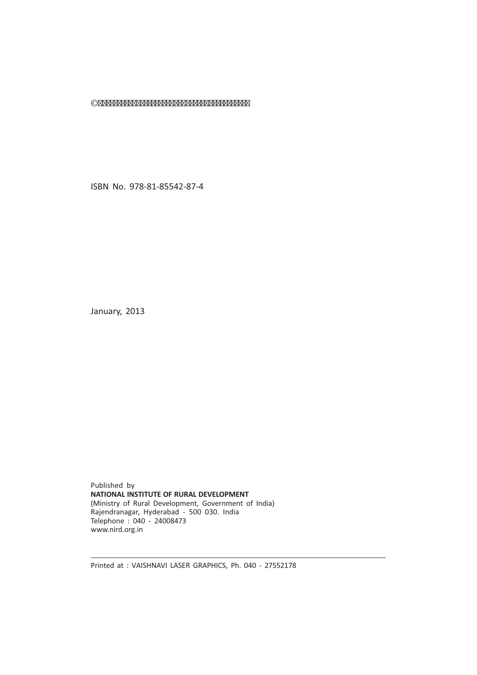©

ISBN No. 978-81-85542-87-4

January, 2013

Published by NATIONAL INSTITUTE OF RURAL DEVELOPMENT (Ministry of Rural Development, Government of India) Rajendranagar, Hyderabad - 500 030. India Telephone : 040 - 24008473 www.nird.org.in

Printed at : VAISHNAVI LASER GRAPHICS, Ph. 040 - 27552178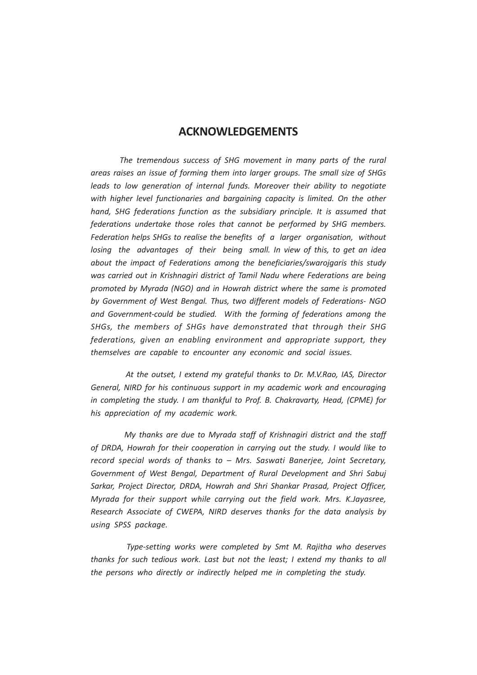## ACKNOWLEDGEMENTS

The tremendous success of SHG movement in many parts of the rural areas raises an issue of forming them into larger groups. The small size of SHGs leads to low generation of internal funds. Moreover their ability to negotiate with higher level functionaries and bargaining capacity is limited. On the other hand, SHG federations function as the subsidiary principle. It is assumed that federations undertake those roles that cannot be performed by SHG members. Federation helps SHGs to realise the benefits of a larger organisation, without losing the advantages of their being small. In view of this, to get an idea about the impact of Federations among the beneficiaries/swarojgaris this study was carried out in Krishnagiri district of Tamil Nadu where Federations are being promoted by Myrada (NGO) and in Howrah district where the same is promoted by Government of West Bengal. Thus, two different models of Federations- NGO and Government-could be studied. With the forming of federations among the SHGs, the members of SHGs have demonstrated that through their SHG federations, given an enabling environment and appropriate support, they themselves are capable to encounter any economic and social issues.

 At the outset, I extend my grateful thanks to Dr. M.V.Rao, IAS, Director General, NIRD for his continuous support in my academic work and encouraging in completing the study. I am thankful to Prof. B. Chakravarty, Head, (CPME) for his appreciation of my academic work.

 My thanks are due to Myrada staff of Krishnagiri district and the staff of DRDA, Howrah for their cooperation in carrying out the study. I would like to record special words of thanks to – Mrs. Saswati Banerjee, Joint Secretary, Government of West Bengal, Department of Rural Development and Shri Sabuj Sarkar, Project Director, DRDA, Howrah and Shri Shankar Prasad, Project Officer, Myrada for their support while carrying out the field work. Mrs. K.Jayasree, Research Associate of CWEPA, NIRD deserves thanks for the data analysis by using SPSS package.

 Type-setting works were completed by Smt M. Rajitha who deserves thanks for such tedious work. Last but not the least; I extend my thanks to all the persons who directly or indirectly helped me in completing the study.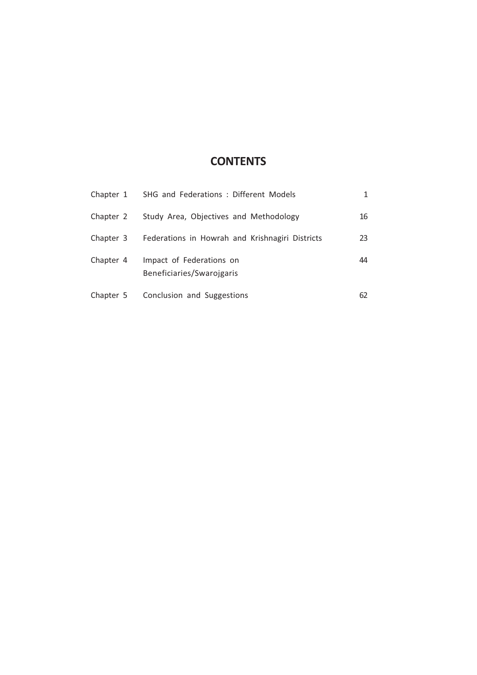# **CONTENTS**

|           | Chapter 1 SHG and Federations: Different Models       |    |
|-----------|-------------------------------------------------------|----|
| Chapter 2 | Study Area, Objectives and Methodology                | 16 |
| Chapter 3 | Federations in Howrah and Krishnagiri Districts       | 23 |
| Chapter 4 | Impact of Federations on<br>Beneficiaries/Swarojgaris | 44 |
| Chapter 5 | Conclusion and Suggestions                            | 62 |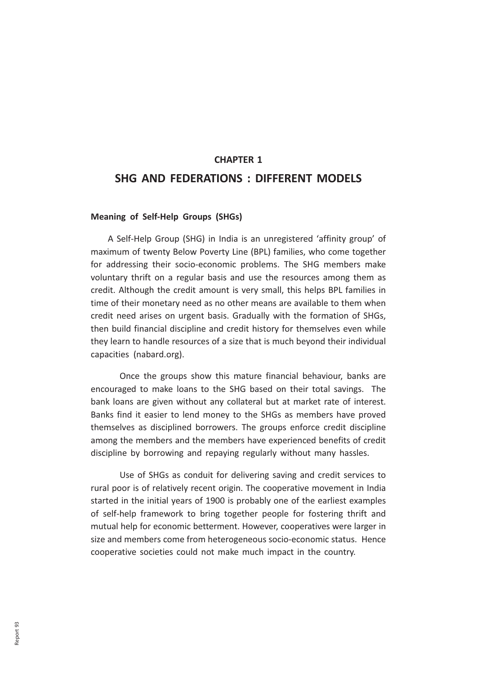# CHAPTER 1 SHG AND FEDERATIONS : DIFFERENT MODELS

#### Meaning of Self-Help Groups (SHGs)

 A Self-Help Group (SHG) in India is an unregistered 'affinity group' of maximum of twenty Below Poverty Line (BPL) families, who come together for addressing their socio-economic problems. The SHG members make voluntary thrift on a regular basis and use the resources among them as credit. Although the credit amount is very small, this helps BPL families in time of their monetary need as no other means are available to them when credit need arises on urgent basis. Gradually with the formation of SHGs, then build financial discipline and credit history for themselves even while they learn to handle resources of a size that is much beyond their individual capacities (nabard.org).

Once the groups show this mature financial behaviour, banks are encouraged to make loans to the SHG based on their total savings. The bank loans are given without any collateral but at market rate of interest. Banks find it easier to lend money to the SHGs as members have proved themselves as disciplined borrowers. The groups enforce credit discipline among the members and the members have experienced benefits of credit discipline by borrowing and repaying regularly without many hassles.

Use of SHGs as conduit for delivering saving and credit services to rural poor is of relatively recent origin. The cooperative movement in India started in the initial years of 1900 is probably one of the earliest examples of self-help framework to bring together people for fostering thrift and mutual help for economic betterment. However, cooperatives were larger in size and members come from heterogeneous socio-economic status. Hence cooperative societies could not make much impact in the country.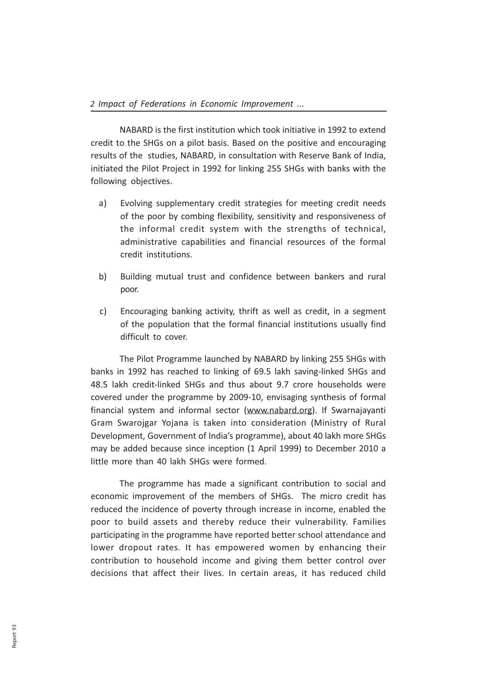NABARD is the first institution which took initiative in 1992 to extend credit to the SHGs on a pilot basis. Based on the positive and encouraging results of the studies, NABARD, in consultation with Reserve Bank of India, initiated the Pilot Project in 1992 for linking 255 SHGs with banks with the following objectives.

- a) Evolving supplementary credit strategies for meeting credit needs of the poor by combing flexibility, sensitivity and responsiveness of the informal credit system with the strengths of technical, administrative capabilities and financial resources of the formal credit institutions.
- b) Building mutual trust and confidence between bankers and rural poor.
- c) Encouraging banking activity, thrift as well as credit, in a segment of the population that the formal financial institutions usually find difficult to cover.

The Pilot Programme launched by NABARD by linking 255 SHGs with banks in 1992 has reached to linking of 69.5 lakh saving-linked SHGs and 48.5 lakh credit-linked SHGs and thus about 9.7 crore households were covered under the programme by 2009-10, envisaging synthesis of formal financial system and informal sector (www.nabard.org). If Swarnajayanti Gram Swarojgar Yojana is taken into consideration (Ministry of Rural Development, Government of India's programme), about 40 lakh more SHGs may be added because since inception (1 April 1999) to December 2010 a little more than 40 lakh SHGs were formed.

The programme has made a significant contribution to social and economic improvement of the members of SHGs. The micro credit has reduced the incidence of poverty through increase in income, enabled the poor to build assets and thereby reduce their vulnerability. Families participating in the programme have reported better school attendance and lower dropout rates. It has empowered women by enhancing their contribution to household income and giving them better control over decisions that affect their lives. In certain areas, it has reduced child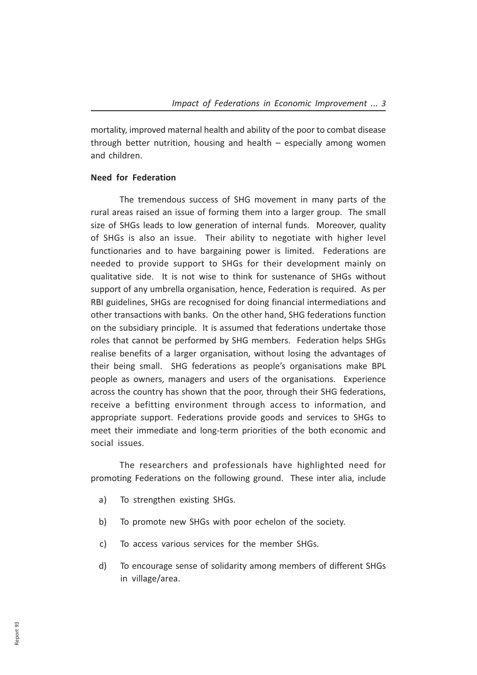mortality, improved maternal health and ability of the poor to combat disease through better nutrition, housing and health – especially among women and children.

#### Need for Federation

The tremendous success of SHG movement in many parts of the rural areas raised an issue of forming them into a larger group. The small size of SHGs leads to low generation of internal funds. Moreover, quality of SHGs is also an issue. Their ability to negotiate with higher level functionaries and to have bargaining power is limited. Federations are needed to provide support to SHGs for their development mainly on qualitative side. It is not wise to think for sustenance of SHGs without support of any umbrella organisation, hence, Federation is required. As per RBI guidelines, SHGs are recognised for doing financial intermediations and other transactions with banks. On the other hand, SHG federations function on the subsidiary principle. It is assumed that federations undertake those roles that cannot be performed by SHG members. Federation helps SHGs realise benefits of a larger organisation, without losing the advantages of their being small. SHG federations as people's organisations make BPL people as owners, managers and users of the organisations. Experience across the country has shown that the poor, through their SHG federations, receive a befitting environment through access to information, and appropriate support. Federations provide goods and services to SHGs to meet their immediate and long-term priorities of the both economic and social issues.

The researchers and professionals have highlighted need for promoting Federations on the following ground. These inter alia, include

- a) To strengthen existing SHGs.
- b) To promote new SHGs with poor echelon of the society.
- c) To access various services for the member SHGs.
- d) To encourage sense of solidarity among members of different SHGs in village/area.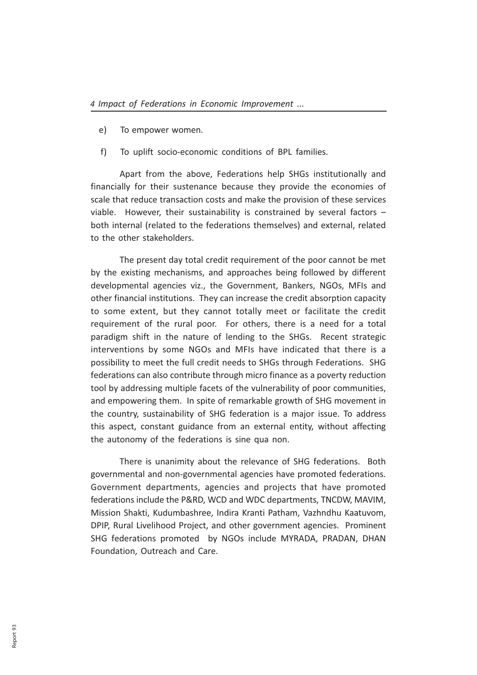- e) To empower women.
- f) To uplift socio-economic conditions of BPL families.

Apart from the above, Federations help SHGs institutionally and financially for their sustenance because they provide the economies of scale that reduce transaction costs and make the provision of these services viable. However, their sustainability is constrained by several factors – both internal (related to the federations themselves) and external, related to the other stakeholders.

The present day total credit requirement of the poor cannot be met by the existing mechanisms, and approaches being followed by different developmental agencies viz., the Government, Bankers, NGOs, MFIs and other financial institutions. They can increase the credit absorption capacity to some extent, but they cannot totally meet or facilitate the credit requirement of the rural poor. For others, there is a need for a total paradigm shift in the nature of lending to the SHGs. Recent strategic interventions by some NGOs and MFIs have indicated that there is a possibility to meet the full credit needs to SHGs through Federations. SHG federations can also contribute through micro finance as a poverty reduction tool by addressing multiple facets of the vulnerability of poor communities, and empowering them. In spite of remarkable growth of SHG movement in the country, sustainability of SHG federation is a major issue. To address this aspect, constant guidance from an external entity, without affecting the autonomy of the federations is sine qua non.

There is unanimity about the relevance of SHG federations. Both governmental and non-governmental agencies have promoted federations. Government departments, agencies and projects that have promoted federations include the P&RD, WCD and WDC departments, TNCDW, MAVIM, Mission Shakti, Kudumbashree, Indira Kranti Patham, Vazhndhu Kaatuvom, DPIP, Rural Livelihood Project, and other government agencies. Prominent SHG federations promoted by NGOs include MYRADA, PRADAN, DHAN Foundation, Outreach and Care.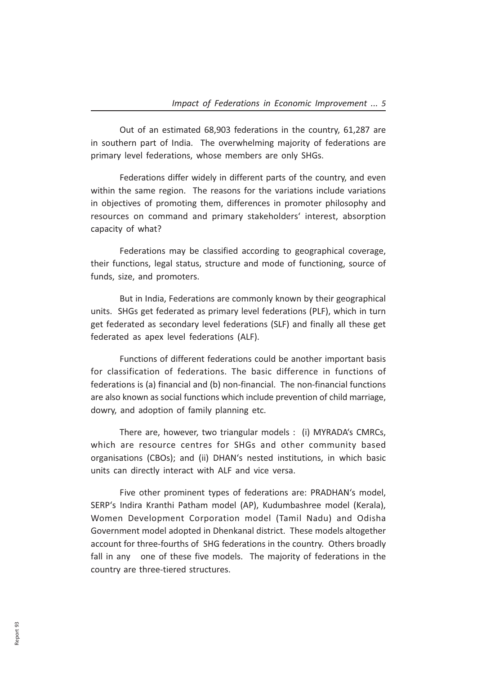Out of an estimated 68,903 federations in the country, 61,287 are in southern part of India. The overwhelming majority of federations are primary level federations, whose members are only SHGs.

Federations differ widely in different parts of the country, and even within the same region. The reasons for the variations include variations in objectives of promoting them, differences in promoter philosophy and resources on command and primary stakeholders' interest, absorption capacity of what?

Federations may be classified according to geographical coverage, their functions, legal status, structure and mode of functioning, source of funds, size, and promoters.

But in India, Federations are commonly known by their geographical units. SHGs get federated as primary level federations (PLF), which in turn get federated as secondary level federations (SLF) and finally all these get federated as apex level federations (ALF).

Functions of different federations could be another important basis for classification of federations. The basic difference in functions of federations is (a) financial and (b) non-financial. The non-financial functions are also known as social functions which include prevention of child marriage, dowry, and adoption of family planning etc.

There are, however, two triangular models : (i) MYRADA's CMRCs, which are resource centres for SHGs and other community based organisations (CBOs); and (ii) DHAN's nested institutions, in which basic units can directly interact with ALF and vice versa.

Five other prominent types of federations are: PRADHAN's model, SERP's Indira Kranthi Patham model (AP), Kudumbashree model (Kerala), Women Development Corporation model (Tamil Nadu) and Odisha Government model adopted in Dhenkanal district. These models altogether account for three-fourths of SHG federations in the country. Others broadly fall in any one of these five models. The majority of federations in the country are three-tiered structures.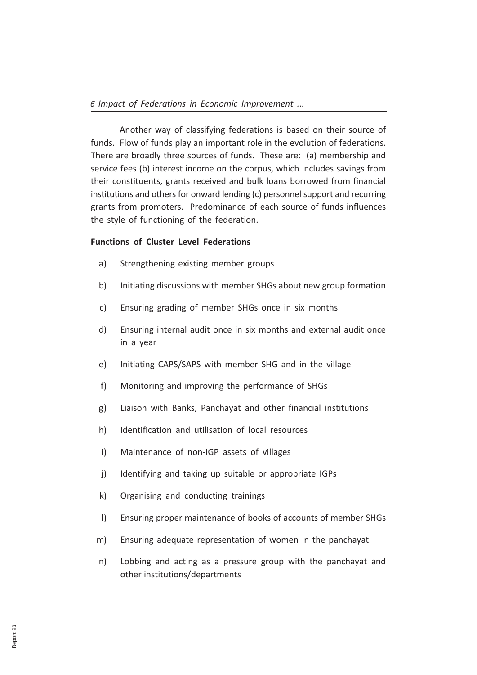Another way of classifying federations is based on their source of funds. Flow of funds play an important role in the evolution of federations. There are broadly three sources of funds. These are: (a) membership and service fees (b) interest income on the corpus, which includes savings from their constituents, grants received and bulk loans borrowed from financial institutions and others for onward lending (c) personnel support and recurring grants from promoters. Predominance of each source of funds influences the style of functioning of the federation.

#### Functions of Cluster Level Federations

- a) Strengthening existing member groups
- b) Initiating discussions with member SHGs about new group formation
- c) Ensuring grading of member SHGs once in six months
- d) Ensuring internal audit once in six months and external audit once in a year
- e) Initiating CAPS/SAPS with member SHG and in the village
- f) Monitoring and improving the performance of SHGs
- g) Liaison with Banks, Panchayat and other financial institutions
- h) Identification and utilisation of local resources
- i) Maintenance of non-IGP assets of villages
- j) Identifying and taking up suitable or appropriate IGPs
- k) Organising and conducting trainings
- l) Ensuring proper maintenance of books of accounts of member SHGs
- m) Ensuring adequate representation of women in the panchayat
- n) Lobbing and acting as a pressure group with the panchayat and other institutions/departments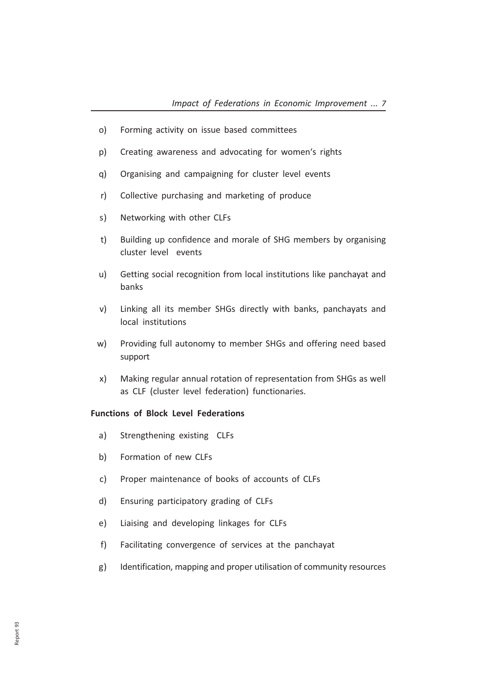- o) Forming activity on issue based committees
- p) Creating awareness and advocating for women's rights
- q) Organising and campaigning for cluster level events
- r) Collective purchasing and marketing of produce
- s) Networking with other CLFs
- t) Building up confidence and morale of SHG members by organising cluster level events
- u) Getting social recognition from local institutions like panchayat and banks
- v) Linking all its member SHGs directly with banks, panchayats and local institutions
- w) Providing full autonomy to member SHGs and offering need based support
- x) Making regular annual rotation of representation from SHGs as well as CLF (cluster level federation) functionaries.

#### Functions of Block Level Federations

- a) Strengthening existing CLFs
- b) Formation of new CLFs
- c) Proper maintenance of books of accounts of CLFs
- d) Ensuring participatory grading of CLFs
- e) Liaising and developing linkages for CLFs
- f) Facilitating convergence of services at the panchayat
- g) Identification, mapping and proper utilisation of community resources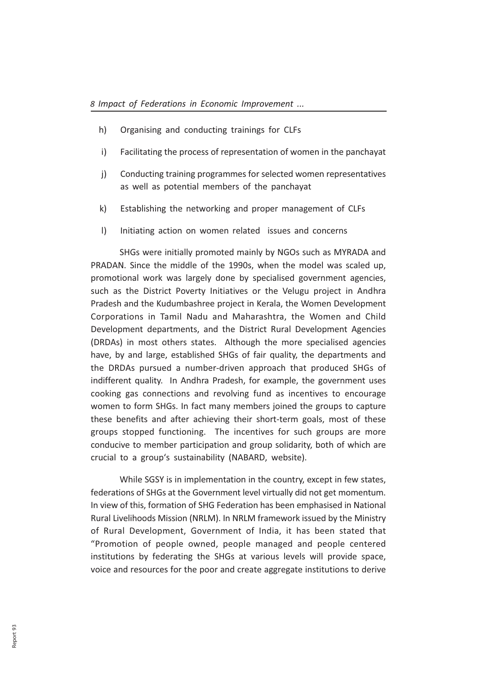- h) Organising and conducting trainings for CLFs
- i) Facilitating the process of representation of women in the panchayat
- j) Conducting training programmes for selected women representatives as well as potential members of the panchayat
- k) Establishing the networking and proper management of CLFs
- l) Initiating action on women related issues and concerns

SHGs were initially promoted mainly by NGOs such as MYRADA and PRADAN. Since the middle of the 1990s, when the model was scaled up, promotional work was largely done by specialised government agencies, such as the District Poverty Initiatives or the Velugu project in Andhra Pradesh and the Kudumbashree project in Kerala, the Women Development Corporations in Tamil Nadu and Maharashtra, the Women and Child Development departments, and the District Rural Development Agencies (DRDAs) in most others states. Although the more specialised agencies have, by and large, established SHGs of fair quality, the departments and the DRDAs pursued a number-driven approach that produced SHGs of indifferent quality. In Andhra Pradesh, for example, the government uses cooking gas connections and revolving fund as incentives to encourage women to form SHGs. In fact many members joined the groups to capture these benefits and after achieving their short-term goals, most of these groups stopped functioning. The incentives for such groups are more conducive to member participation and group solidarity, both of which are crucial to a group's sustainability (NABARD, website).

While SGSY is in implementation in the country, except in few states, federations of SHGs at the Government level virtually did not get momentum. In view of this, formation of SHG Federation has been emphasised in National Rural Livelihoods Mission (NRLM). In NRLM framework issued by the Ministry of Rural Development, Government of India, it has been stated that "Promotion of people owned, people managed and people centered institutions by federating the SHGs at various levels will provide space, voice and resources for the poor and create aggregate institutions to derive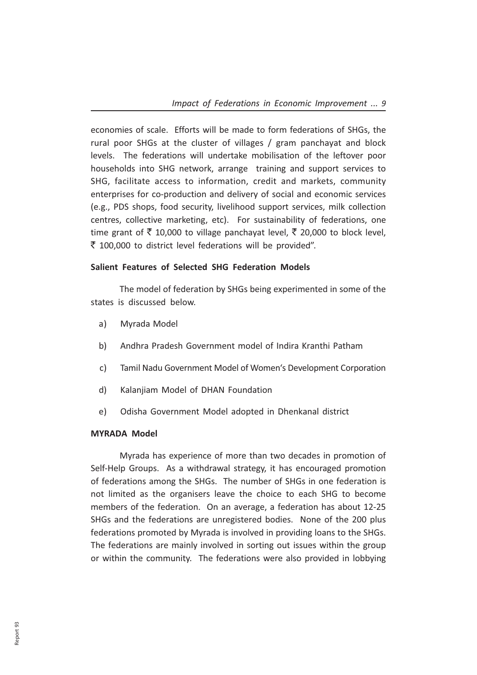economies of scale. Efforts will be made to form federations of SHGs, the rural poor SHGs at the cluster of villages / gram panchayat and block levels. The federations will undertake mobilisation of the leftover poor households into SHG network, arrange training and support services to SHG, facilitate access to information, credit and markets, community enterprises for co-production and delivery of social and economic services (e.g., PDS shops, food security, livelihood support services, milk collection centres, collective marketing, etc). For sustainability of federations, one time grant of  $\bar{\tau}$  10,000 to village panchayat level,  $\bar{\tau}$  20,000 to block level,  $\overline{\zeta}$  100,000 to district level federations will be provided".

#### Salient Features of Selected SHG Federation Models

The model of federation by SHGs being experimented in some of the states is discussed below.

- a) Myrada Model
- b) Andhra Pradesh Government model of Indira Kranthi Patham
- c) Tamil Nadu Government Model of Women's Development Corporation
- d) Kalanjiam Model of DHAN Foundation
- e) Odisha Government Model adopted in Dhenkanal district

#### MYRADA Model

Myrada has experience of more than two decades in promotion of Self-Help Groups. As a withdrawal strategy, it has encouraged promotion of federations among the SHGs. The number of SHGs in one federation is not limited as the organisers leave the choice to each SHG to become members of the federation. On an average, a federation has about 12-25 SHGs and the federations are unregistered bodies. None of the 200 plus federations promoted by Myrada is involved in providing loans to the SHGs. The federations are mainly involved in sorting out issues within the group or within the community. The federations were also provided in lobbying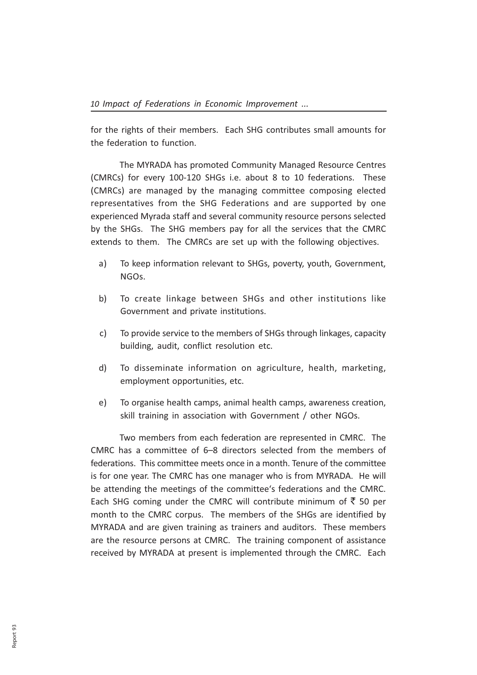for the rights of their members. Each SHG contributes small amounts for the federation to function.

The MYRADA has promoted Community Managed Resource Centres (CMRCs) for every 100-120 SHGs i.e. about 8 to 10 federations. These (CMRCs) are managed by the managing committee composing elected representatives from the SHG Federations and are supported by one experienced Myrada staff and several community resource persons selected by the SHGs. The SHG members pay for all the services that the CMRC extends to them. The CMRCs are set up with the following objectives.

- a) To keep information relevant to SHGs, poverty, youth, Government, NGOs.
- b) To create linkage between SHGs and other institutions like Government and private institutions.
- c) To provide service to the members of SHGs through linkages, capacity building, audit, conflict resolution etc.
- d) To disseminate information on agriculture, health, marketing, employment opportunities, etc.
- e) To organise health camps, animal health camps, awareness creation, skill training in association with Government / other NGOs.

Two members from each federation are represented in CMRC. The CMRC has a committee of 6–8 directors selected from the members of federations. This committee meets once in a month. Tenure of the committee is for one year. The CMRC has one manager who is from MYRADA. He will be attending the meetings of the committee's federations and the CMRC. Each SHG coming under the CMRC will contribute minimum of  $\bar{z}$  50 per month to the CMRC corpus. The members of the SHGs are identified by MYRADA and are given training as trainers and auditors. These members are the resource persons at CMRC. The training component of assistance received by MYRADA at present is implemented through the CMRC. Each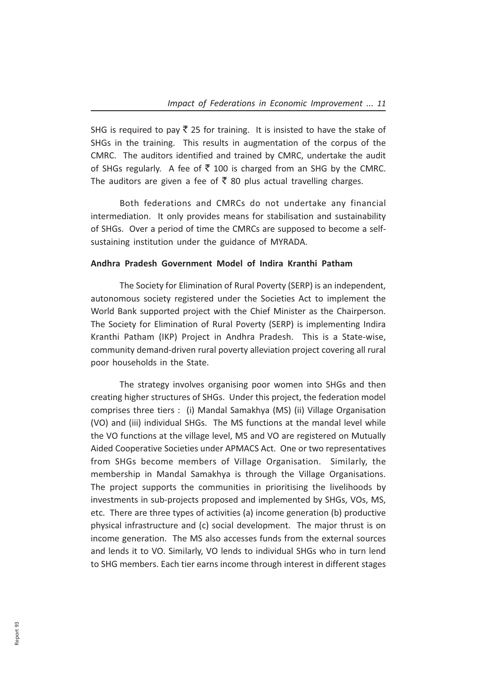SHG is required to pay  $\bar{\tau}$  25 for training. It is insisted to have the stake of SHGs in the training. This results in augmentation of the corpus of the CMRC. The auditors identified and trained by CMRC, undertake the audit of SHGs regularly. A fee of  $\overline{5}$  100 is charged from an SHG by the CMRC. The auditors are given a fee of  $\bar{\tau}$  80 plus actual travelling charges.

Both federations and CMRCs do not undertake any financial intermediation. It only provides means for stabilisation and sustainability of SHGs. Over a period of time the CMRCs are supposed to become a selfsustaining institution under the guidance of MYRADA.

#### Andhra Pradesh Government Model of Indira Kranthi Patham

The Society for Elimination of Rural Poverty (SERP) is an independent, autonomous society registered under the Societies Act to implement the World Bank supported project with the Chief Minister as the Chairperson. The Society for Elimination of Rural Poverty (SERP) is implementing Indira Kranthi Patham (IKP) Project in Andhra Pradesh. This is a State-wise, community demand-driven rural poverty alleviation project covering all rural poor households in the State.

The strategy involves organising poor women into SHGs and then creating higher structures of SHGs. Under this project, the federation model comprises three tiers : (i) Mandal Samakhya (MS) (ii) Village Organisation (VO) and (iii) individual SHGs. The MS functions at the mandal level while the VO functions at the village level, MS and VO are registered on Mutually Aided Cooperative Societies under APMACS Act. One or two representatives from SHGs become members of Village Organisation. Similarly, the membership in Mandal Samakhya is through the Village Organisations. The project supports the communities in prioritising the livelihoods by investments in sub-projects proposed and implemented by SHGs, VOs, MS, etc. There are three types of activities (a) income generation (b) productive physical infrastructure and (c) social development. The major thrust is on income generation. The MS also accesses funds from the external sources and lends it to VO. Similarly, VO lends to individual SHGs who in turn lend to SHG members. Each tier earns income through interest in different stages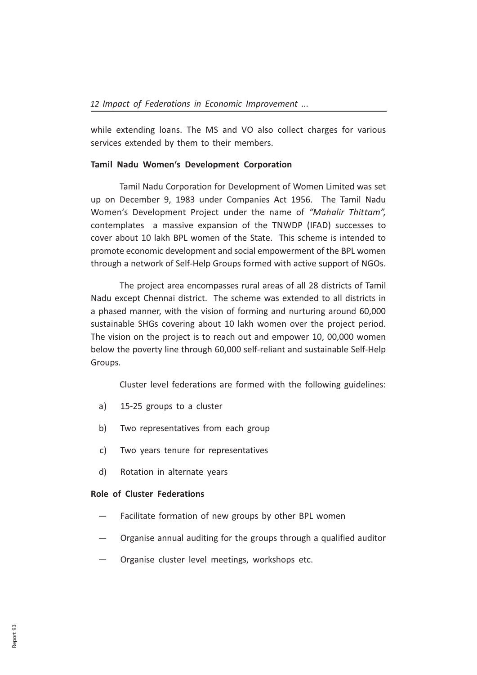while extending loans. The MS and VO also collect charges for various services extended by them to their members.

#### Tamil Nadu Women's Development Corporation

Tamil Nadu Corporation for Development of Women Limited was set up on December 9, 1983 under Companies Act 1956. The Tamil Nadu Women's Development Project under the name of "Mahalir Thittam", contemplates a massive expansion of the TNWDP (IFAD) successes to cover about 10 lakh BPL women of the State. This scheme is intended to promote economic development and social empowerment of the BPL women through a network of Self-Help Groups formed with active support of NGOs.

The project area encompasses rural areas of all 28 districts of Tamil Nadu except Chennai district. The scheme was extended to all districts in a phased manner, with the vision of forming and nurturing around 60,000 sustainable SHGs covering about 10 lakh women over the project period. The vision on the project is to reach out and empower 10, 00,000 women below the poverty line through 60,000 self-reliant and sustainable Self-Help Groups.

Cluster level federations are formed with the following guidelines:

- a) 15-25 groups to a cluster
- b) Two representatives from each group
- c) Two years tenure for representatives
- d) Rotation in alternate years

#### Role of Cluster Federations

- Facilitate formation of new groups by other BPL women
- Organise annual auditing for the groups through a qualified auditor
- Organise cluster level meetings, workshops etc.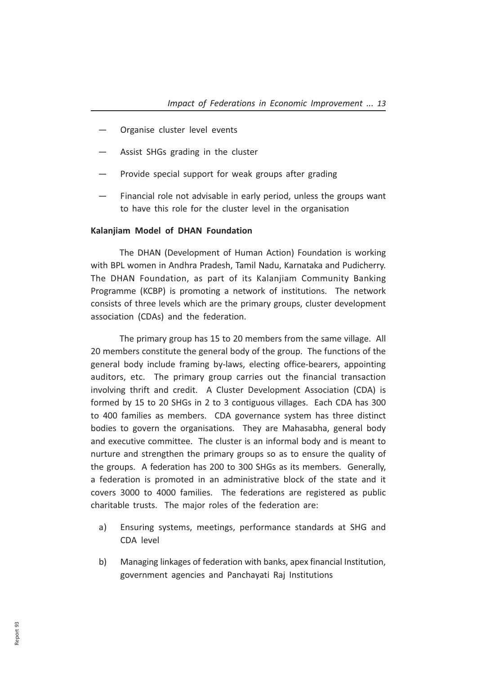- Organise cluster level events
- Assist SHGs grading in the cluster
- Provide special support for weak groups after grading
- Financial role not advisable in early period, unless the groups want to have this role for the cluster level in the organisation

#### Kalanjiam Model of DHAN Foundation

The DHAN (Development of Human Action) Foundation is working with BPL women in Andhra Pradesh, Tamil Nadu, Karnataka and Pudicherry. The DHAN Foundation, as part of its Kalanjiam Community Banking Programme (KCBP) is promoting a network of institutions. The network consists of three levels which are the primary groups, cluster development association (CDAs) and the federation.

The primary group has 15 to 20 members from the same village. All 20 members constitute the general body of the group. The functions of the general body include framing by-laws, electing office-bearers, appointing auditors, etc. The primary group carries out the financial transaction involving thrift and credit. A Cluster Development Association (CDA) is formed by 15 to 20 SHGs in 2 to 3 contiguous villages. Each CDA has 300 to 400 families as members. CDA governance system has three distinct bodies to govern the organisations. They are Mahasabha, general body and executive committee. The cluster is an informal body and is meant to nurture and strengthen the primary groups so as to ensure the quality of the groups. A federation has 200 to 300 SHGs as its members. Generally, a federation is promoted in an administrative block of the state and it covers 3000 to 4000 families. The federations are registered as public charitable trusts. The major roles of the federation are:

- a) Ensuring systems, meetings, performance standards at SHG and CDA level
- b) Managing linkages of federation with banks, apex financial Institution, government agencies and Panchayati Raj Institutions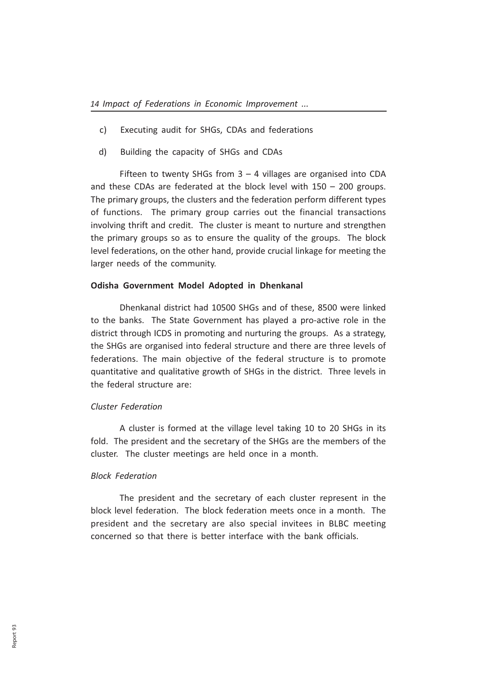- c) Executing audit for SHGs, CDAs and federations
- d) Building the capacity of SHGs and CDAs

Fifteen to twenty SHGs from  $3 - 4$  villages are organised into CDA and these CDAs are federated at the block level with 150 – 200 groups. The primary groups, the clusters and the federation perform different types of functions. The primary group carries out the financial transactions involving thrift and credit. The cluster is meant to nurture and strengthen the primary groups so as to ensure the quality of the groups. The block level federations, on the other hand, provide crucial linkage for meeting the larger needs of the community.

#### Odisha Government Model Adopted in Dhenkanal

Dhenkanal district had 10500 SHGs and of these, 8500 were linked to the banks. The State Government has played a pro-active role in the district through ICDS in promoting and nurturing the groups. As a strategy, the SHGs are organised into federal structure and there are three levels of federations. The main objective of the federal structure is to promote quantitative and qualitative growth of SHGs in the district. Three levels in the federal structure are:

#### Cluster Federation

A cluster is formed at the village level taking 10 to 20 SHGs in its fold. The president and the secretary of the SHGs are the members of the cluster. The cluster meetings are held once in a month.

#### Block Federation

The president and the secretary of each cluster represent in the block level federation. The block federation meets once in a month. The president and the secretary are also special invitees in BLBC meeting concerned so that there is better interface with the bank officials.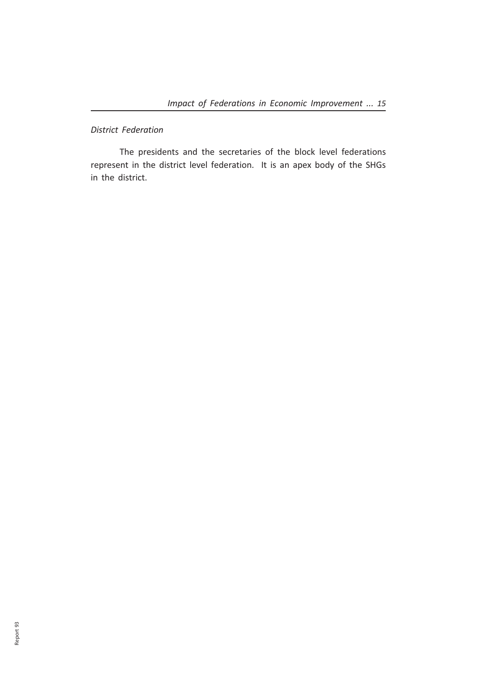## District Federation

The presidents and the secretaries of the block level federations represent in the district level federation. It is an apex body of the SHGs in the district.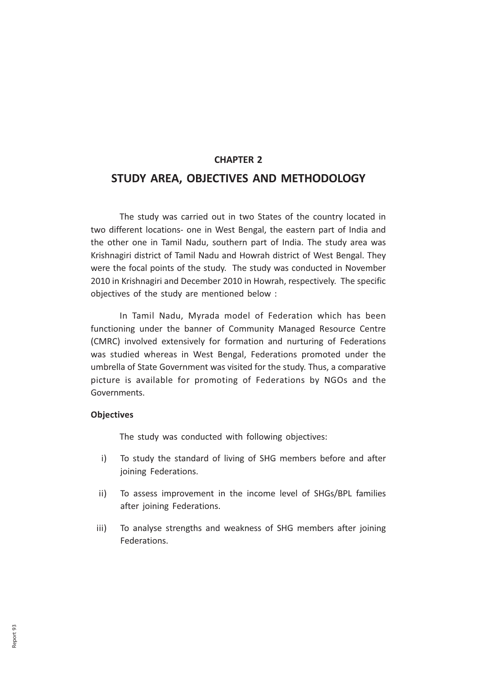### CHAPTER 2

## STUDY AREA, OBJECTIVES AND METHODOLOGY

The study was carried out in two States of the country located in two different locations- one in West Bengal, the eastern part of India and the other one in Tamil Nadu, southern part of India. The study area was Krishnagiri district of Tamil Nadu and Howrah district of West Bengal. They were the focal points of the study. The study was conducted in November 2010 in Krishnagiri and December 2010 in Howrah, respectively. The specific objectives of the study are mentioned below :

In Tamil Nadu, Myrada model of Federation which has been functioning under the banner of Community Managed Resource Centre (CMRC) involved extensively for formation and nurturing of Federations was studied whereas in West Bengal, Federations promoted under the umbrella of State Government was visited for the study. Thus, a comparative picture is available for promoting of Federations by NGOs and the Governments.

#### **Objectives**

The study was conducted with following objectives:

- i) To study the standard of living of SHG members before and after joining Federations.
- ii) To assess improvement in the income level of SHGs/BPL families after joining Federations.
- iii) To analyse strengths and weakness of SHG members after joining Federations.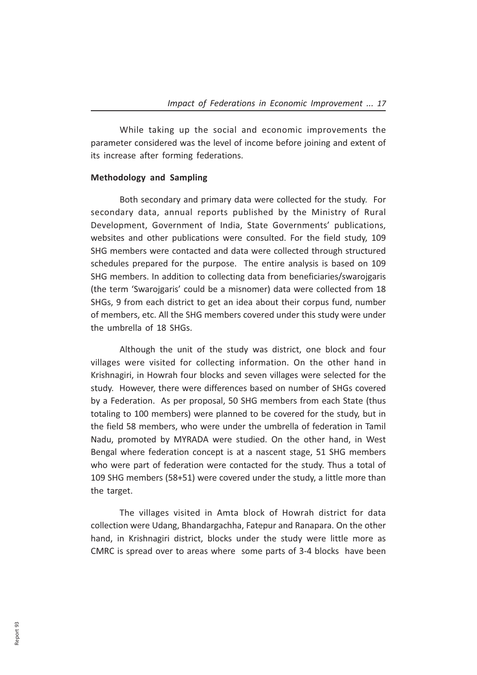While taking up the social and economic improvements the parameter considered was the level of income before joining and extent of its increase after forming federations.

#### Methodology and Sampling

Both secondary and primary data were collected for the study. For secondary data, annual reports published by the Ministry of Rural Development, Government of India, State Governments' publications, websites and other publications were consulted. For the field study, 109 SHG members were contacted and data were collected through structured schedules prepared for the purpose. The entire analysis is based on 109 SHG members. In addition to collecting data from beneficiaries/swarojgaris (the term 'Swarojgaris' could be a misnomer) data were collected from 18 SHGs, 9 from each district to get an idea about their corpus fund, number of members, etc. All the SHG members covered under this study were under the umbrella of 18 SHGs.

Although the unit of the study was district, one block and four villages were visited for collecting information. On the other hand in Krishnagiri, in Howrah four blocks and seven villages were selected for the study. However, there were differences based on number of SHGs covered by a Federation. As per proposal, 50 SHG members from each State (thus totaling to 100 members) were planned to be covered for the study, but in the field 58 members, who were under the umbrella of federation in Tamil Nadu, promoted by MYRADA were studied. On the other hand, in West Bengal where federation concept is at a nascent stage, 51 SHG members who were part of federation were contacted for the study. Thus a total of 109 SHG members (58+51) were covered under the study, a little more than the target.

The villages visited in Amta block of Howrah district for data collection were Udang, Bhandargachha, Fatepur and Ranapara. On the other hand, in Krishnagiri district, blocks under the study were little more as CMRC is spread over to areas where some parts of 3-4 blocks have been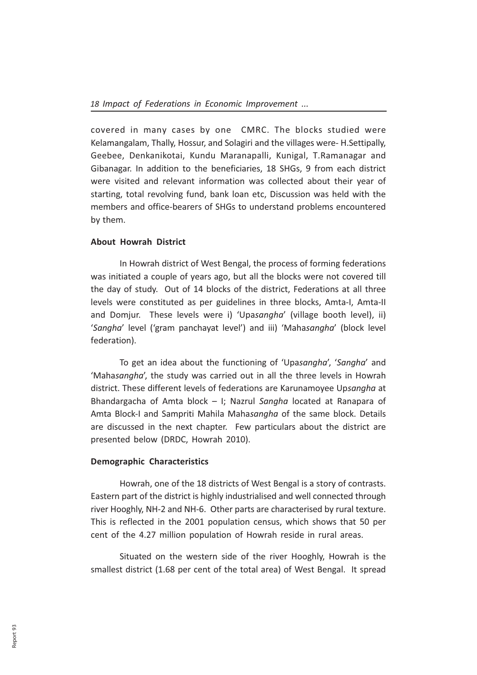covered in many cases by one CMRC. The blocks studied were Kelamangalam, Thally, Hossur, and Solagiri and the villages were- H.Settipally, Geebee, Denkanikotai, Kundu Maranapalli, Kunigal, T.Ramanagar and Gibanagar. In addition to the beneficiaries, 18 SHGs, 9 from each district were visited and relevant information was collected about their year of starting, total revolving fund, bank loan etc, Discussion was held with the members and office-bearers of SHGs to understand problems encountered by them.

#### About Howrah District

In Howrah district of West Bengal, the process of forming federations was initiated a couple of years ago, but all the blocks were not covered till the day of study. Out of 14 blocks of the district, Federations at all three levels were constituted as per guidelines in three blocks, Amta-I, Amta-II and Domjur. These levels were i) 'Upasangha' (village booth level), ii) 'Sangha' level ('gram panchayat level') and iii) 'Mahasangha' (block level federation).

To get an idea about the functioning of 'Upasangha', 'Sangha' and 'Mahasangha', the study was carried out in all the three levels in Howrah district. These different levels of federations are Karunamoyee Upsangha at Bhandargacha of Amta block – I; Nazrul Sangha located at Ranapara of Amta Block-I and Sampriti Mahila Mahasangha of the same block. Details are discussed in the next chapter. Few particulars about the district are presented below (DRDC, Howrah 2010).

#### Demographic Characteristics

Howrah, one of the 18 districts of West Bengal is a story of contrasts. Eastern part of the district is highly industrialised and well connected through river Hooghly, NH-2 and NH-6. Other parts are characterised by rural texture. This is reflected in the 2001 population census, which shows that 50 per cent of the 4.27 million population of Howrah reside in rural areas.

Situated on the western side of the river Hooghly, Howrah is the smallest district (1.68 per cent of the total area) of West Bengal. It spread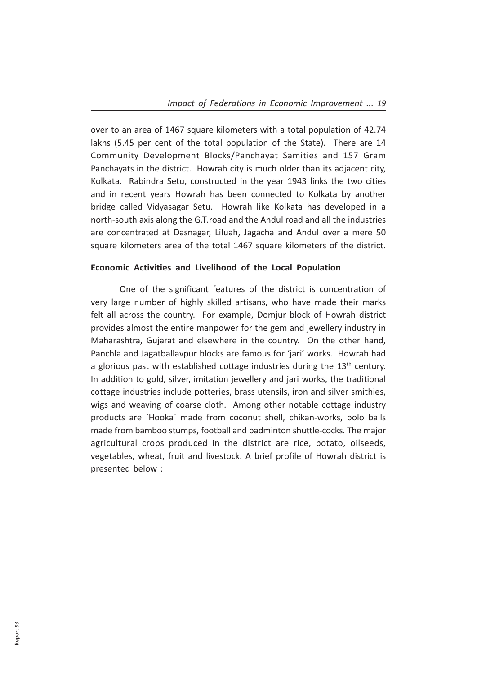over to an area of 1467 square kilometers with a total population of 42.74 lakhs (5.45 per cent of the total population of the State). There are 14 Community Development Blocks/Panchayat Samities and 157 Gram Panchayats in the district. Howrah city is much older than its adjacent city, Kolkata. Rabindra Setu, constructed in the year 1943 links the two cities and in recent years Howrah has been connected to Kolkata by another bridge called Vidyasagar Setu. Howrah like Kolkata has developed in a north-south axis along the G.T.road and the Andul road and all the industries are concentrated at Dasnagar, Liluah, Jagacha and Andul over a mere 50 square kilometers area of the total 1467 square kilometers of the district.

#### Economic Activities and Livelihood of the Local Population

One of the significant features of the district is concentration of very large number of highly skilled artisans, who have made their marks felt all across the country. For example, Domjur block of Howrah district provides almost the entire manpower for the gem and jewellery industry in Maharashtra, Gujarat and elsewhere in the country. On the other hand, Panchla and Jagatballavpur blocks are famous for 'jari' works. Howrah had a glorious past with established cottage industries during the  $13<sup>th</sup>$  century. In addition to gold, silver, imitation jewellery and jari works, the traditional cottage industries include potteries, brass utensils, iron and silver smithies, wigs and weaving of coarse cloth. Among other notable cottage industry products are `Hooka` made from coconut shell, chikan-works, polo balls made from bamboo stumps, football and badminton shuttle-cocks. The major agricultural crops produced in the district are rice, potato, oilseeds, vegetables, wheat, fruit and livestock. A brief profile of Howrah district is presented below :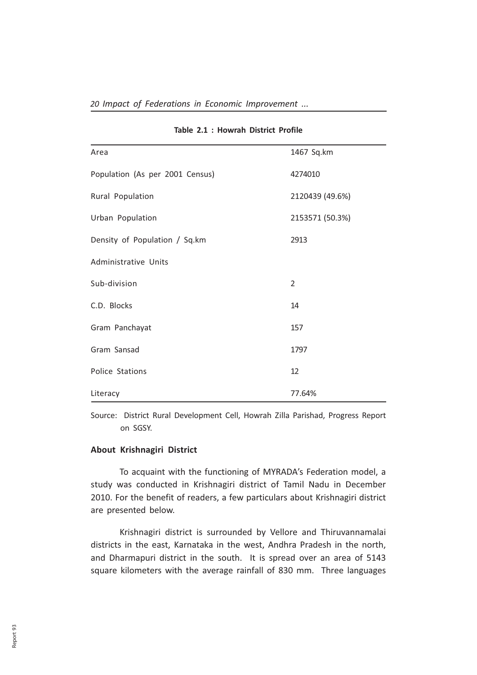| Area                            | 1467 Sq.km      |  |
|---------------------------------|-----------------|--|
| Population (As per 2001 Census) | 4274010         |  |
| Rural Population                | 2120439 (49.6%) |  |
| Urban Population                | 2153571 (50.3%) |  |
| Density of Population / Sq.km   | 2913            |  |
| <b>Administrative Units</b>     |                 |  |
| Sub-division                    | $\overline{2}$  |  |
| C.D. Blocks                     | 14              |  |
| Gram Panchayat                  | 157             |  |
| Gram Sansad                     | 1797            |  |
| Police Stations                 | 12              |  |
| Literacy                        | 77.64%          |  |

#### Table 2.1 : Howrah District Profile

Source: District Rural Development Cell, Howrah Zilla Parishad, Progress Report on SGSY.

#### About Krishnagiri District

To acquaint with the functioning of MYRADA's Federation model, a study was conducted in Krishnagiri district of Tamil Nadu in December 2010. For the benefit of readers, a few particulars about Krishnagiri district are presented below.

Krishnagiri district is surrounded by Vellore and Thiruvannamalai districts in the east, Karnataka in the west, Andhra Pradesh in the north, and Dharmapuri district in the south. It is spread over an area of 5143 square kilometers with the average rainfall of 830 mm. Three languages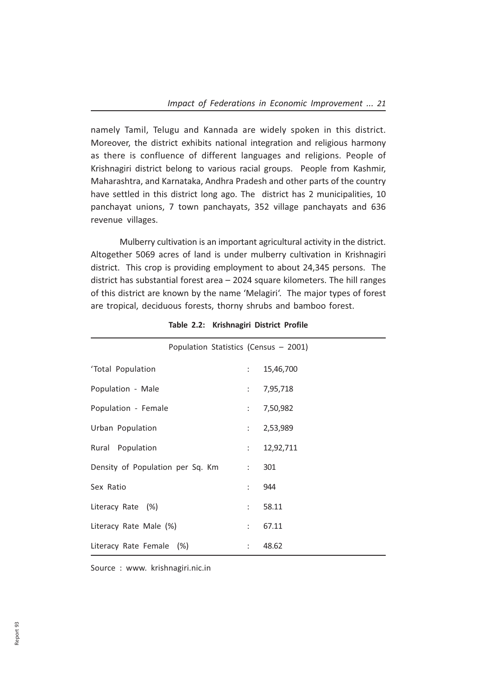namely Tamil, Telugu and Kannada are widely spoken in this district. Moreover, the district exhibits national integration and religious harmony as there is confluence of different languages and religions. People of Krishnagiri district belong to various racial groups. People from Kashmir, Maharashtra, and Karnataka, Andhra Pradesh and other parts of the country have settled in this district long ago. The district has 2 municipalities, 10 panchayat unions, 7 town panchayats, 352 village panchayats and 636 revenue villages.

Mulberry cultivation is an important agricultural activity in the district. Altogether 5069 acres of land is under mulberry cultivation in Krishnagiri district. This crop is providing employment to about 24,345 persons. The district has substantial forest area – 2024 square kilometers. The hill ranges of this district are known by the name 'Melagiri'. The major types of forest are tropical, deciduous forests, thorny shrubs and bamboo forest.

| Population Statistics (Census - 2001) |                           |           |  |  |
|---------------------------------------|---------------------------|-----------|--|--|
| 'Total Population                     |                           | 15,46,700 |  |  |
| Population - Male                     | $\mathbb{R}^{n}$          | 7,95,718  |  |  |
| Population - Female                   |                           | 7,50,982  |  |  |
| Urban Population                      | $\mathbb{R}^{n}$          | 2,53,989  |  |  |
| Rural Population                      | $\mathbb{R}^{\mathbb{Z}}$ | 12,92,711 |  |  |
| Density of Population per Sq. Km      | $1 - 1$                   | 301       |  |  |
| Sex Ratio                             | t in                      | 944       |  |  |
| Literacy Rate (%)                     | ÷                         | 58.11     |  |  |
| Literacy Rate Male (%)                | ÷                         | 67.11     |  |  |
| Literacy Rate Female (%)              | t.                        | 48.62     |  |  |

Table 2.2: Krishnagiri District Profile

Source : www. krishnagiri.nic.in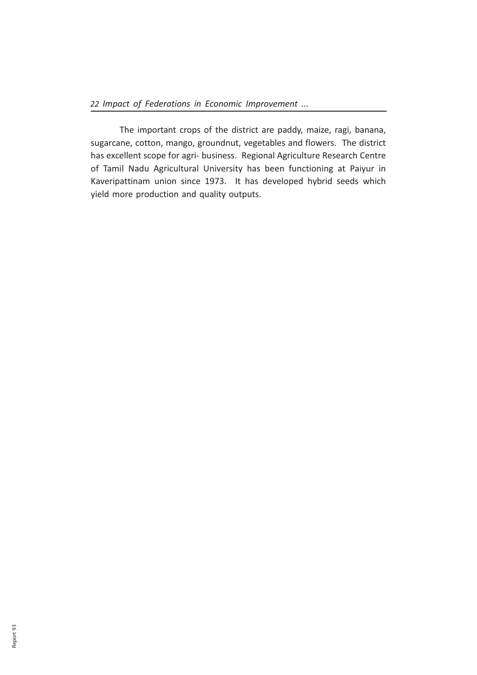The important crops of the district are paddy, maize, ragi, banana, sugarcane, cotton, mango, groundnut, vegetables and flowers. The district has excellent scope for agri- business. Regional Agriculture Research Centre of Tamil Nadu Agricultural University has been functioning at Paiyur in Kaveripattinam union since 1973. It has developed hybrid seeds which yield more production and quality outputs.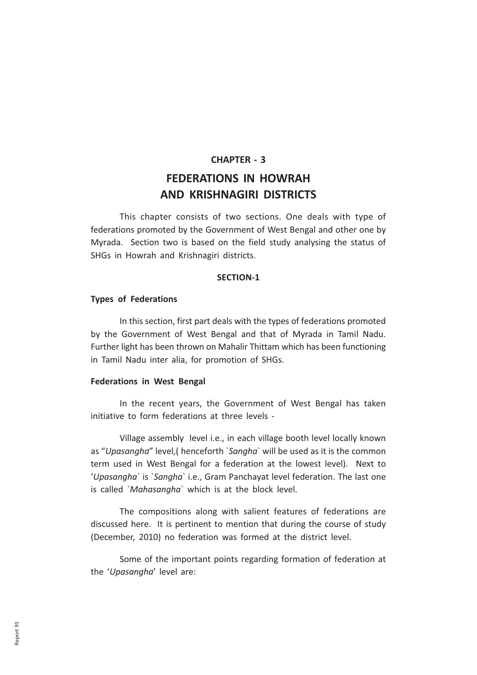#### CHAPTER - 3

## FEDERATIONS IN HOWRAH AND KRISHNAGIRI DISTRICTS

This chapter consists of two sections. One deals with type of federations promoted by the Government of West Bengal and other one by Myrada. Section two is based on the field study analysing the status of SHGs in Howrah and Krishnagiri districts.

#### SECTION-1

#### Types of Federations

In this section, first part deals with the types of federations promoted by the Government of West Bengal and that of Myrada in Tamil Nadu. Further light has been thrown on Mahalir Thittam which has been functioning in Tamil Nadu inter alia, for promotion of SHGs.

#### Federations in West Bengal

In the recent years, the Government of West Bengal has taken initiative to form federations at three levels -

Village assembly level i.e., in each village booth level locally known as "Upasangha" level, (henceforth `Sangha` will be used as it is the common term used in West Bengal for a federation at the lowest level). Next to 'Upasangha` is `Sangha` i.e., Gram Panchayat level federation. The last one is called `Mahasangha` which is at the block level.

The compositions along with salient features of federations are discussed here. It is pertinent to mention that during the course of study (December, 2010) no federation was formed at the district level.

Some of the important points regarding formation of federation at the 'Upasangha' level are: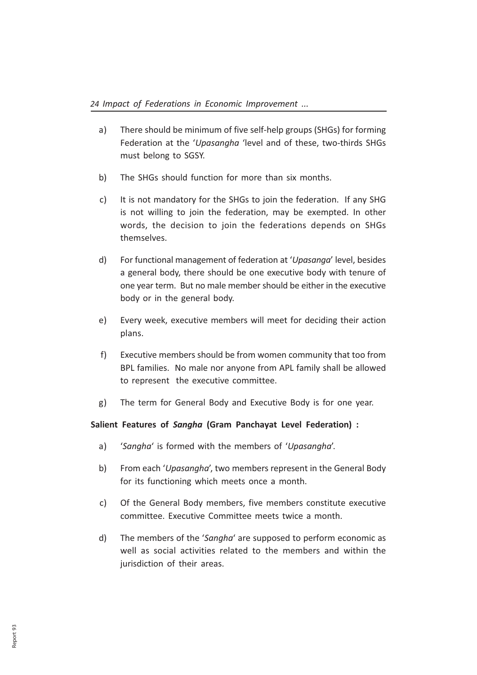- a) There should be minimum of five self-help groups (SHGs) for forming Federation at the 'Upasangha 'level and of these, two-thirds SHGs must belong to SGSY.
- b) The SHGs should function for more than six months.
- c) It is not mandatory for the SHGs to join the federation. If any SHG is not willing to join the federation, may be exempted. In other words, the decision to join the federations depends on SHGs themselves.
- d) For functional management of federation at 'Upasanga' level, besides a general body, there should be one executive body with tenure of one year term. But no male member should be either in the executive body or in the general body.
- e) Every week, executive members will meet for deciding their action plans.
- f) Executive members should be from women community that too from BPL families. No male nor anyone from APL family shall be allowed to represent the executive committee.
- g) The term for General Body and Executive Body is for one year.

#### Salient Features of Sangha (Gram Panchayat Level Federation) :

- a) 'Sangha' is formed with the members of 'Upasangha'.
- b) From each 'Upasangha', two members represent in the General Body for its functioning which meets once a month.
- c) Of the General Body members, five members constitute executive committee. Executive Committee meets twice a month.
- d) The members of the 'Sangha' are supposed to perform economic as well as social activities related to the members and within the jurisdiction of their areas.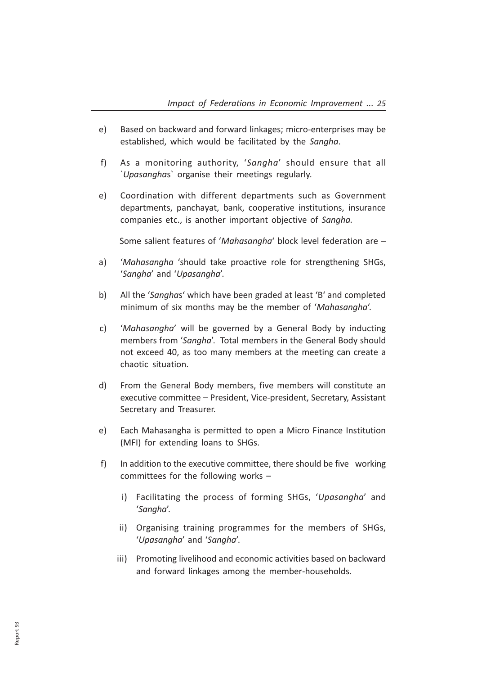- e) Based on backward and forward linkages; micro-enterprises may be established, which would be facilitated by the Sangha.
- f) As a monitoring authority, 'Sangha' should ensure that all `Upasanghas` organise their meetings regularly.
- e) Coordination with different departments such as Government departments, panchayat, bank, cooperative institutions, insurance companies etc., is another important objective of Sangha.

Some salient features of 'Mahasangha' block level federation are –

- a) 'Mahasangha 'should take proactive role for strengthening SHGs, 'Sangha' and 'Upasangha'.
- b) All the 'Sanghas' which have been graded at least 'B' and completed minimum of six months may be the member of 'Mahasangha'.
- c) 'Mahasangha' will be governed by a General Body by inducting members from 'Sangha'. Total members in the General Body should not exceed 40, as too many members at the meeting can create a chaotic situation.
- d) From the General Body members, five members will constitute an executive committee – President, Vice-president, Secretary, Assistant Secretary and Treasurer.
- e) Each Mahasangha is permitted to open a Micro Finance Institution (MFI) for extending loans to SHGs.
- f) In addition to the executive committee, there should be five working committees for the following works –
	- i) Facilitating the process of forming SHGs, 'Upasangha' and 'Sangha'.
	- ii) Organising training programmes for the members of SHGs, 'Upasangha' and 'Sangha'.
	- iii) Promoting livelihood and economic activities based on backward and forward linkages among the member-households.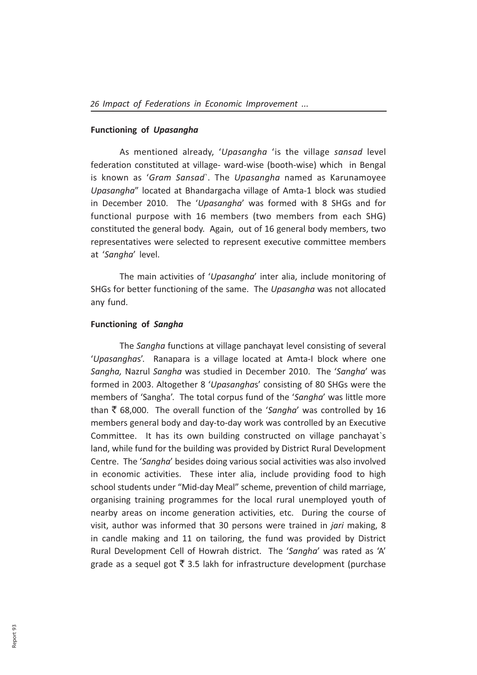#### Functioning of Upasangha

As mentioned already, 'Upasangha 'is the village sansad level federation constituted at village- ward-wise (booth-wise) which in Bengal is known as 'Gram Sansad`. The Upasangha named as Karunamoyee Upasangha" located at Bhandargacha village of Amta-1 block was studied in December 2010. The 'Upasangha' was formed with 8 SHGs and for functional purpose with 16 members (two members from each SHG) constituted the general body. Again, out of 16 general body members, two representatives were selected to represent executive committee members at 'Sangha' level.

The main activities of 'Upasangha' inter alia, include monitoring of SHGs for better functioning of the same. The Upasangha was not allocated any fund.

#### Functioning of Sangha

The Sangha functions at village panchayat level consisting of several 'Upasanghas'. Ranapara is a village located at Amta-I block where one Sangha, Nazrul Sangha was studied in December 2010. The 'Sangha' was formed in 2003. Altogether 8 'Upasanghas' consisting of 80 SHGs were the members of 'Sangha'. The total corpus fund of the 'Sangha' was little more than  $\bar{\xi}$  68,000. The overall function of the 'Sangha' was controlled by 16 members general body and day-to-day work was controlled by an Executive Committee. It has its own building constructed on village panchayat`s land, while fund for the building was provided by District Rural Development Centre. The 'Sangha' besides doing various social activities was also involved in economic activities. These inter alia, include providing food to high school students under "Mid-day Meal" scheme, prevention of child marriage, organising training programmes for the local rural unemployed youth of nearby areas on income generation activities, etc. During the course of visit, author was informed that 30 persons were trained in *jari* making, 8 in candle making and 11 on tailoring, the fund was provided by District Rural Development Cell of Howrah district. The 'Sangha' was rated as 'A' grade as a sequel got  $\bar{\tau}$  3.5 lakh for infrastructure development (purchase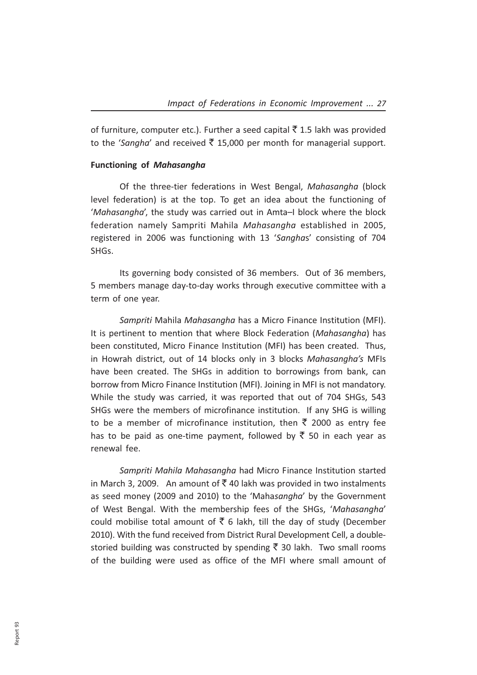of furniture, computer etc.). Further a seed capital  $\bar{\tau}$  1.5 lakh was provided to the 'Sangha' and received  $\bar{\tau}$  15,000 per month for managerial support.

#### Functioning of Mahasangha

Of the three-tier federations in West Bengal, Mahasangha (block level federation) is at the top. To get an idea about the functioning of 'Mahasangha', the study was carried out in Amta–I block where the block federation namely Sampriti Mahila Mahasangha established in 2005, registered in 2006 was functioning with 13 'Sanghas' consisting of 704 SHGs.

Its governing body consisted of 36 members. Out of 36 members, 5 members manage day-to-day works through executive committee with a term of one year.

Sampriti Mahila Mahasangha has a Micro Finance Institution (MFI). It is pertinent to mention that where Block Federation (Mahasangha) has been constituted, Micro Finance Institution (MFI) has been created. Thus, in Howrah district, out of 14 blocks only in 3 blocks Mahasangha's MFIs have been created. The SHGs in addition to borrowings from bank, can borrow from Micro Finance Institution (MFI). Joining in MFI is not mandatory. While the study was carried, it was reported that out of 704 SHGs, 543 SHGs were the members of microfinance institution. If any SHG is willing to be a member of microfinance institution, then  $\bar{\tau}$  2000 as entry fee has to be paid as one-time payment, followed by  $\bar{\tau}$  50 in each year as renewal fee.

Sampriti Mahila Mahasangha had Micro Finance Institution started in March 3, 2009. An amount of  $\bar{\mathcal{F}}$  40 lakh was provided in two instalments as seed money (2009 and 2010) to the 'Mahasangha' by the Government of West Bengal. With the membership fees of the SHGs, 'Mahasangha' could mobilise total amount of  $\bar{\tau}$  6 lakh, till the day of study (December 2010). With the fund received from District Rural Development Cell, a doublestoried building was constructed by spending  $\bar{\tau}$  30 lakh. Two small rooms of the building were used as office of the MFI where small amount of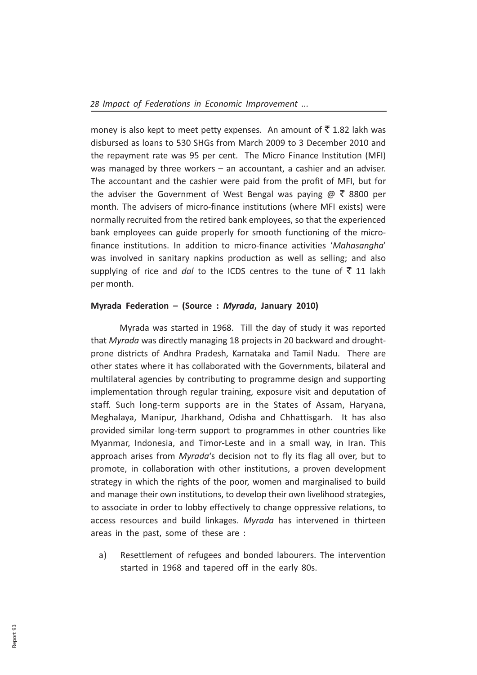money is also kept to meet petty expenses. An amount of  $\bar{\tau}$  1.82 lakh was disbursed as loans to 530 SHGs from March 2009 to 3 December 2010 and the repayment rate was 95 per cent. The Micro Finance Institution (MFI) was managed by three workers – an accountant, a cashier and an adviser. The accountant and the cashier were paid from the profit of MFI, but for the adviser the Government of West Bengal was paying  $\omega \bar{\tau}$  8800 per month. The advisers of micro-finance institutions (where MFI exists) were normally recruited from the retired bank employees, so that the experienced bank employees can guide properly for smooth functioning of the microfinance institutions. In addition to micro-finance activities 'Mahasangha' was involved in sanitary napkins production as well as selling; and also supplying of rice and dal to the ICDS centres to the tune of  $\bar{z}$  11 lakh per month.

#### Myrada Federation – (Source : Myrada, January 2010)

Myrada was started in 1968. Till the day of study it was reported that Myrada was directly managing 18 projects in 20 backward and droughtprone districts of Andhra Pradesh, Karnataka and Tamil Nadu. There are other states where it has collaborated with the Governments, bilateral and multilateral agencies by contributing to programme design and supporting implementation through regular training, exposure visit and deputation of staff. Such long-term supports are in the States of Assam, Haryana, Meghalaya, Manipur, Jharkhand, Odisha and Chhattisgarh. It has also provided similar long-term support to programmes in other countries like Myanmar, Indonesia, and Timor-Leste and in a small way, in Iran. This approach arises from Myrada's decision not to fly its flag all over, but to promote, in collaboration with other institutions, a proven development strategy in which the rights of the poor, women and marginalised to build and manage their own institutions, to develop their own livelihood strategies, to associate in order to lobby effectively to change oppressive relations, to access resources and build linkages. Myrada has intervened in thirteen areas in the past, some of these are :

a) Resettlement of refugees and bonded labourers. The intervention started in 1968 and tapered off in the early 80s.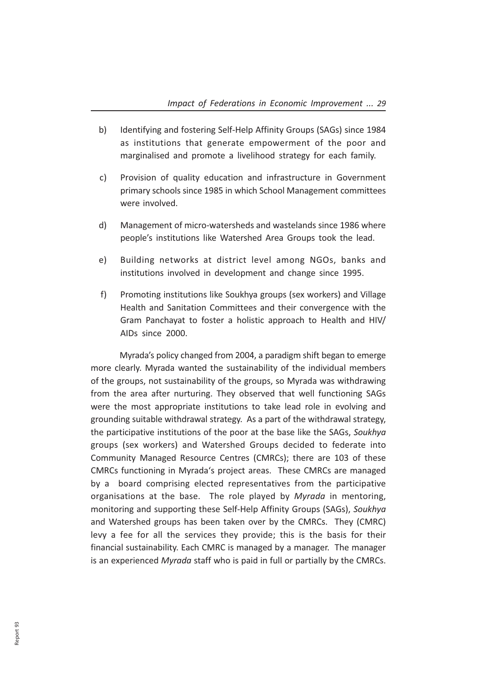- b) Identifying and fostering Self-Help Affinity Groups (SAGs) since 1984 as institutions that generate empowerment of the poor and marginalised and promote a livelihood strategy for each family.
- c) Provision of quality education and infrastructure in Government primary schools since 1985 in which School Management committees were involved.
- d) Management of micro-watersheds and wastelands since 1986 where people's institutions like Watershed Area Groups took the lead.
- e) Building networks at district level among NGOs, banks and institutions involved in development and change since 1995.
- f) Promoting institutions like Soukhya groups (sex workers) and Village Health and Sanitation Committees and their convergence with the Gram Panchayat to foster a holistic approach to Health and HIV/ AIDs since 2000.

Myrada's policy changed from 2004, a paradigm shift began to emerge more clearly. Myrada wanted the sustainability of the individual members of the groups, not sustainability of the groups, so Myrada was withdrawing from the area after nurturing. They observed that well functioning SAGs were the most appropriate institutions to take lead role in evolving and grounding suitable withdrawal strategy. As a part of the withdrawal strategy, the participative institutions of the poor at the base like the SAGs, Soukhya groups (sex workers) and Watershed Groups decided to federate into Community Managed Resource Centres (CMRCs); there are 103 of these CMRCs functioning in Myrada's project areas. These CMRCs are managed by a board comprising elected representatives from the participative organisations at the base. The role played by Myrada in mentoring, monitoring and supporting these Self-Help Affinity Groups (SAGs), Soukhya and Watershed groups has been taken over by the CMRCs. They (CMRC) levy a fee for all the services they provide; this is the basis for their financial sustainability. Each CMRC is managed by a manager. The manager is an experienced Myrada staff who is paid in full or partially by the CMRCs.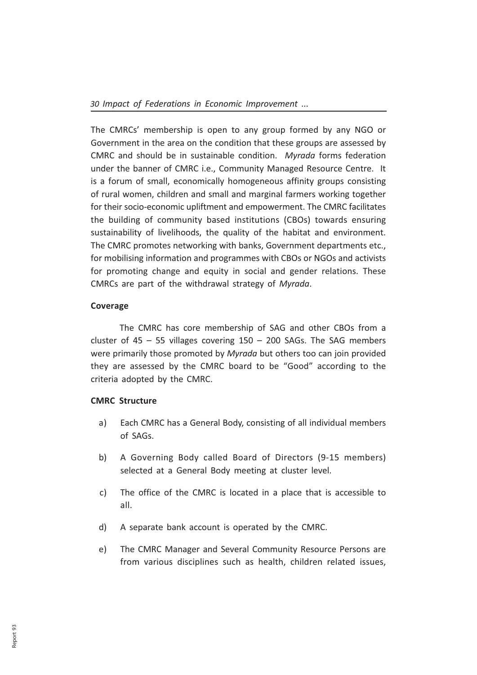The CMRCs' membership is open to any group formed by any NGO or Government in the area on the condition that these groups are assessed by CMRC and should be in sustainable condition. Myrada forms federation under the banner of CMRC i.e., Community Managed Resource Centre. It is a forum of small, economically homogeneous affinity groups consisting of rural women, children and small and marginal farmers working together for their socio-economic upliftment and empowerment. The CMRC facilitates the building of community based institutions (CBOs) towards ensuring sustainability of livelihoods, the quality of the habitat and environment. The CMRC promotes networking with banks, Government departments etc., for mobilising information and programmes with CBOs or NGOs and activists for promoting change and equity in social and gender relations. These CMRCs are part of the withdrawal strategy of Myrada.

#### Coverage

The CMRC has core membership of SAG and other CBOs from a cluster of  $45 - 55$  villages covering  $150 - 200$  SAGs. The SAG members were primarily those promoted by Myrada but others too can join provided they are assessed by the CMRC board to be "Good" according to the criteria adopted by the CMRC.

#### CMRC Structure

- a) Each CMRC has a General Body, consisting of all individual members of SAGs.
- b) A Governing Body called Board of Directors (9-15 members) selected at a General Body meeting at cluster level.
- c) The office of the CMRC is located in a place that is accessible to all.
- d) A separate bank account is operated by the CMRC.
- e) The CMRC Manager and Several Community Resource Persons are from various disciplines such as health, children related issues,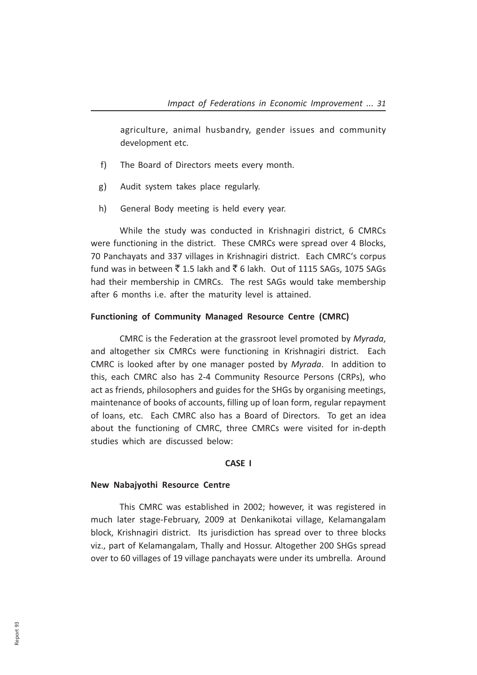agriculture, animal husbandry, gender issues and community development etc.

- f) The Board of Directors meets every month.
- g) Audit system takes place regularly.
- h) General Body meeting is held every year.

While the study was conducted in Krishnagiri district, 6 CMRCs were functioning in the district. These CMRCs were spread over 4 Blocks, 70 Panchayats and 337 villages in Krishnagiri district. Each CMRC's corpus fund was in between  $\bar{\xi}$  1.5 lakh and  $\bar{\xi}$  6 lakh. Out of 1115 SAGs, 1075 SAGs had their membership in CMRCs. The rest SAGs would take membership after 6 months i.e. after the maturity level is attained.

#### Functioning of Community Managed Resource Centre (CMRC)

CMRC is the Federation at the grassroot level promoted by Myrada, and altogether six CMRCs were functioning in Krishnagiri district. Each CMRC is looked after by one manager posted by Myrada. In addition to this, each CMRC also has 2-4 Community Resource Persons (CRPs), who act as friends, philosophers and guides for the SHGs by organising meetings, maintenance of books of accounts, filling up of loan form, regular repayment of loans, etc. Each CMRC also has a Board of Directors. To get an idea about the functioning of CMRC, three CMRCs were visited for in-depth studies which are discussed below:

#### CASE I

#### New Nabajyothi Resource Centre

This CMRC was established in 2002; however, it was registered in much later stage-February, 2009 at Denkanikotai village, Kelamangalam block, Krishnagiri district. Its jurisdiction has spread over to three blocks viz., part of Kelamangalam, Thally and Hossur. Altogether 200 SHGs spread over to 60 villages of 19 village panchayats were under its umbrella. Around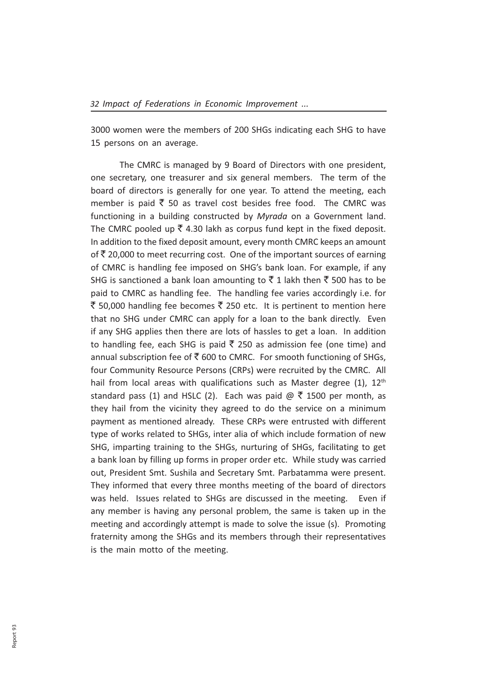3000 women were the members of 200 SHGs indicating each SHG to have 15 persons on an average.

The CMRC is managed by 9 Board of Directors with one president, one secretary, one treasurer and six general members. The term of the board of directors is generally for one year. To attend the meeting, each member is paid  $\bar{\tau}$  50 as travel cost besides free food. The CMRC was functioning in a building constructed by Myrada on a Government land. The CMRC pooled up  $\bar{\xi}$  4.30 lakh as corpus fund kept in the fixed deposit. In addition to the fixed deposit amount, every month CMRC keeps an amount of  $\bar{\tau}$  20,000 to meet recurring cost. One of the important sources of earning of CMRC is handling fee imposed on SHG's bank loan. For example, if any SHG is sanctioned a bank loan amounting to  $\bar{z}$  1 lakh then  $\bar{z}$  500 has to be paid to CMRC as handling fee. The handling fee varies accordingly i.e. for ₹ 50,000 handling fee becomes ₹ 250 etc. It is pertinent to mention here that no SHG under CMRC can apply for a loan to the bank directly. Even if any SHG applies then there are lots of hassles to get a loan. In addition to handling fee, each SHG is paid  $\bar{\tau}$  250 as admission fee (one time) and annual subscription fee of  $\bar{\xi}$  600 to CMRC. For smooth functioning of SHGs, four Community Resource Persons (CRPs) were recruited by the CMRC. All hail from local areas with qualifications such as Master degree  $(1)$ ,  $12<sup>th</sup>$ standard pass (1) and HSLC (2). Each was paid  $\omega \notin 1500$  per month, as they hail from the vicinity they agreed to do the service on a minimum payment as mentioned already. These CRPs were entrusted with different type of works related to SHGs, inter alia of which include formation of new SHG, imparting training to the SHGs, nurturing of SHGs, facilitating to get a bank loan by filling up forms in proper order etc. While study was carried out, President Smt. Sushila and Secretary Smt. Parbatamma were present. They informed that every three months meeting of the board of directors was held. Issues related to SHGs are discussed in the meeting. Even if any member is having any personal problem, the same is taken up in the meeting and accordingly attempt is made to solve the issue (s). Promoting fraternity among the SHGs and its members through their representatives is the main motto of the meeting.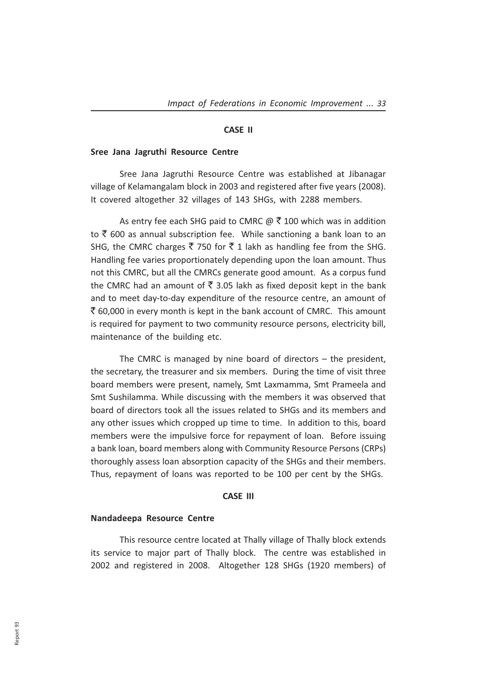#### CASE II

#### Sree Jana Jagruthi Resource Centre

Sree Jana Jagruthi Resource Centre was established at Jibanagar village of Kelamangalam block in 2003 and registered after five years (2008). It covered altogether 32 villages of 143 SHGs, with 2288 members.

As entry fee each SHG paid to CMRC  $\omega \bar{\tau}$  100 which was in addition to  $\bar{\tau}$  600 as annual subscription fee. While sanctioning a bank loan to an SHG, the CMRC charges  $\bar{z}$  750 for  $\bar{z}$  1 lakh as handling fee from the SHG. Handling fee varies proportionately depending upon the loan amount. Thus not this CMRC, but all the CMRCs generate good amount. As a corpus fund the CMRC had an amount of  $\bar{\tau}$  3.05 lakh as fixed deposit kept in the bank and to meet day-to-day expenditure of the resource centre, an amount of  $\bar{\tau}$  60,000 in every month is kept in the bank account of CMRC. This amount is required for payment to two community resource persons, electricity bill, maintenance of the building etc.

The CMRC is managed by nine board of directors – the president, the secretary, the treasurer and six members. During the time of visit three board members were present, namely, Smt Laxmamma, Smt Prameela and Smt Sushilamma. While discussing with the members it was observed that board of directors took all the issues related to SHGs and its members and any other issues which cropped up time to time. In addition to this, board members were the impulsive force for repayment of loan. Before issuing a bank loan, board members along with Community Resource Persons (CRPs) thoroughly assess loan absorption capacity of the SHGs and their members. Thus, repayment of loans was reported to be 100 per cent by the SHGs.

### CASE III

#### Nandadeepa Resource Centre

This resource centre located at Thally village of Thally block extends its service to major part of Thally block. The centre was established in 2002 and registered in 2008. Altogether 128 SHGs (1920 members) of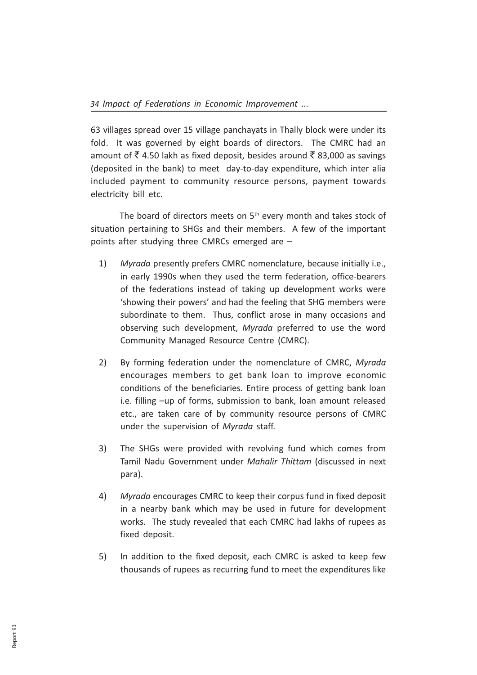63 villages spread over 15 village panchayats in Thally block were under its fold. It was governed by eight boards of directors. The CMRC had an amount of  $\bar{\tau}$  4.50 lakh as fixed deposit, besides around  $\bar{\tau}$  83,000 as savings (deposited in the bank) to meet day-to-day expenditure, which inter alia included payment to community resource persons, payment towards electricity bill etc.

The board of directors meets on  $5<sup>th</sup>$  every month and takes stock of situation pertaining to SHGs and their members. A few of the important points after studying three CMRCs emerged are –

- 1) Myrada presently prefers CMRC nomenclature, because initially i.e., in early 1990s when they used the term federation, office-bearers of the federations instead of taking up development works were 'showing their powers' and had the feeling that SHG members were subordinate to them. Thus, conflict arose in many occasions and observing such development, Myrada preferred to use the word Community Managed Resource Centre (CMRC).
- 2) By forming federation under the nomenclature of CMRC, Myrada encourages members to get bank loan to improve economic conditions of the beneficiaries. Entire process of getting bank loan i.e. filling –up of forms, submission to bank, loan amount released etc., are taken care of by community resource persons of CMRC under the supervision of Myrada staff.
- 3) The SHGs were provided with revolving fund which comes from Tamil Nadu Government under Mahalir Thittam (discussed in next para).
- 4) Myrada encourages CMRC to keep their corpus fund in fixed deposit in a nearby bank which may be used in future for development works. The study revealed that each CMRC had lakhs of rupees as fixed deposit.
- 5) In addition to the fixed deposit, each CMRC is asked to keep few thousands of rupees as recurring fund to meet the expenditures like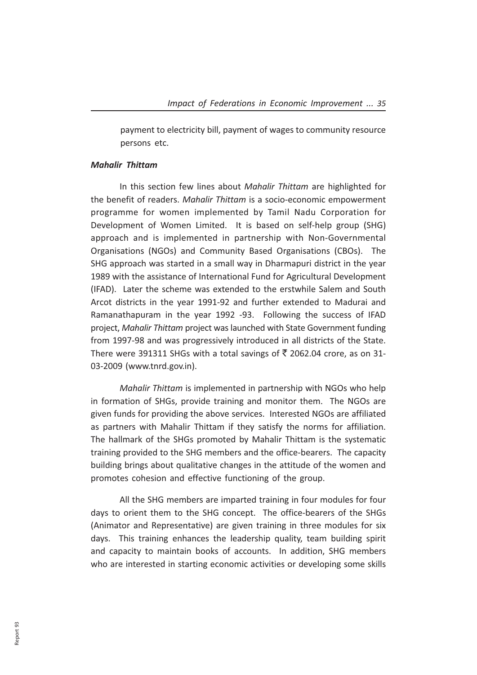payment to electricity bill, payment of wages to community resource persons etc.

### Mahalir Thittam

In this section few lines about Mahalir Thittam are highlighted for the benefit of readers. Mahalir Thittam is a socio-economic empowerment programme for women implemented by Tamil Nadu Corporation for Development of Women Limited. It is based on self-help group (SHG) approach and is implemented in partnership with Non-Governmental Organisations (NGOs) and Community Based Organisations (CBOs). The SHG approach was started in a small way in Dharmapuri district in the year 1989 with the assistance of International Fund for Agricultural Development (IFAD). Later the scheme was extended to the erstwhile Salem and South Arcot districts in the year 1991-92 and further extended to Madurai and Ramanathapuram in the year 1992 -93. Following the success of IFAD project, Mahalir Thittam project was launched with State Government funding from 1997-98 and was progressively introduced in all districts of the State. There were 391311 SHGs with a total savings of  $\bar{\tau}$  2062.04 crore, as on 31-03-2009 (www.tnrd.gov.in).

Mahalir Thittam is implemented in partnership with NGOs who help in formation of SHGs, provide training and monitor them. The NGOs are given funds for providing the above services. Interested NGOs are affiliated as partners with Mahalir Thittam if they satisfy the norms for affiliation. The hallmark of the SHGs promoted by Mahalir Thittam is the systematic training provided to the SHG members and the office-bearers. The capacity building brings about qualitative changes in the attitude of the women and promotes cohesion and effective functioning of the group.

All the SHG members are imparted training in four modules for four days to orient them to the SHG concept. The office-bearers of the SHGs (Animator and Representative) are given training in three modules for six days. This training enhances the leadership quality, team building spirit and capacity to maintain books of accounts. In addition, SHG members who are interested in starting economic activities or developing some skills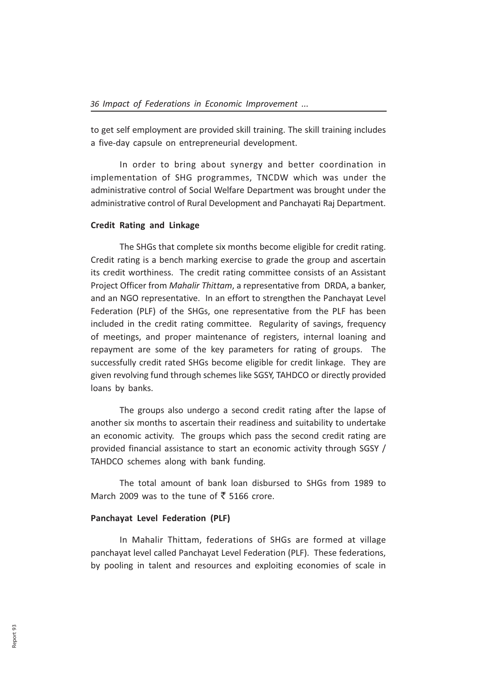to get self employment are provided skill training. The skill training includes a five-day capsule on entrepreneurial development.

In order to bring about synergy and better coordination in implementation of SHG programmes, TNCDW which was under the administrative control of Social Welfare Department was brought under the administrative control of Rural Development and Panchayati Raj Department.

### Credit Rating and Linkage

The SHGs that complete six months become eligible for credit rating. Credit rating is a bench marking exercise to grade the group and ascertain its credit worthiness. The credit rating committee consists of an Assistant Project Officer from Mahalir Thittam, a representative from DRDA, a banker, and an NGO representative. In an effort to strengthen the Panchayat Level Federation (PLF) of the SHGs, one representative from the PLF has been included in the credit rating committee. Regularity of savings, frequency of meetings, and proper maintenance of registers, internal loaning and repayment are some of the key parameters for rating of groups. The successfully credit rated SHGs become eligible for credit linkage. They are given revolving fund through schemes like SGSY, TAHDCO or directly provided loans by banks.

The groups also undergo a second credit rating after the lapse of another six months to ascertain their readiness and suitability to undertake an economic activity. The groups which pass the second credit rating are provided financial assistance to start an economic activity through SGSY / TAHDCO schemes along with bank funding.

The total amount of bank loan disbursed to SHGs from 1989 to March 2009 was to the tune of  $\bar{\bar{\xi}}$  5166 crore.

### Panchayat Level Federation (PLF)

In Mahalir Thittam, federations of SHGs are formed at village panchayat level called Panchayat Level Federation (PLF). These federations, by pooling in talent and resources and exploiting economies of scale in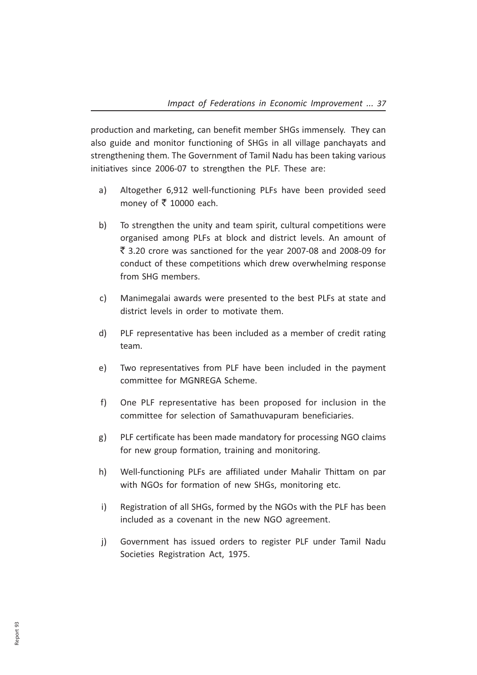production and marketing, can benefit member SHGs immensely. They can also guide and monitor functioning of SHGs in all village panchayats and strengthening them. The Government of Tamil Nadu has been taking various initiatives since 2006-07 to strengthen the PLF. These are:

- a) Altogether 6,912 well-functioning PLFs have been provided seed money of  $\overline{5}$  10000 each.
- b) To strengthen the unity and team spirit, cultural competitions were organised among PLFs at block and district levels. An amount of  $\overline{5}$  3.20 crore was sanctioned for the year 2007-08 and 2008-09 for conduct of these competitions which drew overwhelming response from SHG members.
- c) Manimegalai awards were presented to the best PLFs at state and district levels in order to motivate them.
- d) PLF representative has been included as a member of credit rating team.
- e) Two representatives from PLF have been included in the payment committee for MGNREGA Scheme.
- f) One PLF representative has been proposed for inclusion in the committee for selection of Samathuvapuram beneficiaries.
- g) PLF certificate has been made mandatory for processing NGO claims for new group formation, training and monitoring.
- h) Well-functioning PLFs are affiliated under Mahalir Thittam on par with NGOs for formation of new SHGs, monitoring etc.
- i) Registration of all SHGs, formed by the NGOs with the PLF has been included as a covenant in the new NGO agreement.
- j) Government has issued orders to register PLF under Tamil Nadu Societies Registration Act, 1975.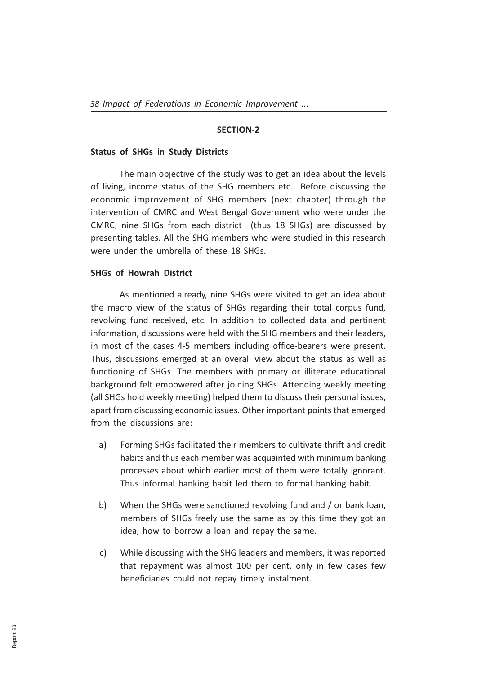### SECTION-2

### Status of SHGs in Study Districts

The main objective of the study was to get an idea about the levels of living, income status of the SHG members etc. Before discussing the economic improvement of SHG members (next chapter) through the intervention of CMRC and West Bengal Government who were under the CMRC, nine SHGs from each district (thus 18 SHGs) are discussed by presenting tables. All the SHG members who were studied in this research were under the umbrella of these 18 SHGs.

### SHGs of Howrah District

As mentioned already, nine SHGs were visited to get an idea about the macro view of the status of SHGs regarding their total corpus fund, revolving fund received, etc. In addition to collected data and pertinent information, discussions were held with the SHG members and their leaders, in most of the cases 4-5 members including office-bearers were present. Thus, discussions emerged at an overall view about the status as well as functioning of SHGs. The members with primary or illiterate educational background felt empowered after joining SHGs. Attending weekly meeting (all SHGs hold weekly meeting) helped them to discuss their personal issues, apart from discussing economic issues. Other important points that emerged from the discussions are:

- a) Forming SHGs facilitated their members to cultivate thrift and credit habits and thus each member was acquainted with minimum banking processes about which earlier most of them were totally ignorant. Thus informal banking habit led them to formal banking habit.
- b) When the SHGs were sanctioned revolving fund and / or bank loan, members of SHGs freely use the same as by this time they got an idea, how to borrow a loan and repay the same.
- c) While discussing with the SHG leaders and members, it was reported that repayment was almost 100 per cent, only in few cases few beneficiaries could not repay timely instalment.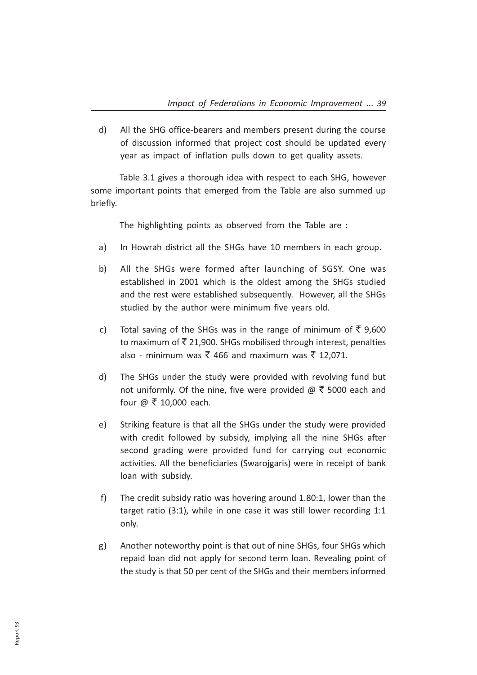d) All the SHG office-bearers and members present during the course of discussion informed that project cost should be updated every year as impact of inflation pulls down to get quality assets.

Table 3.1 gives a thorough idea with respect to each SHG, however some important points that emerged from the Table are also summed up briefly.

The highlighting points as observed from the Table are :

- a) In Howrah district all the SHGs have 10 members in each group.
- b) All the SHGs were formed after launching of SGSY. One was established in 2001 which is the oldest among the SHGs studied and the rest were established subsequently. However, all the SHGs studied by the author were minimum five years old.
- c) Total saving of the SHGs was in the range of minimum of  $\bar{\tau}$  9.600 to maximum of  $\bar{\tau}$  21,900. SHGs mobilised through interest, penalties also - minimum was  $\bar{\tau}$  466 and maximum was  $\bar{\tau}$  12,071.
- d) The SHGs under the study were provided with revolving fund but not uniformly. Of the nine, five were provided  $\omega \bar{\tau}$  5000 each and four  $\omega \bar{\tau}$  10,000 each.
- e) Striking feature is that all the SHGs under the study were provided with credit followed by subsidy, implying all the nine SHGs after second grading were provided fund for carrying out economic activities. All the beneficiaries (Swarojgaris) were in receipt of bank loan with subsidy.
- f) The credit subsidy ratio was hovering around 1.80:1, lower than the target ratio (3:1), while in one case it was still lower recording 1:1 only.
- g) Another noteworthy point is that out of nine SHGs, four SHGs which repaid loan did not apply for second term loan. Revealing point of the study is that 50 per cent of the SHGs and their members informed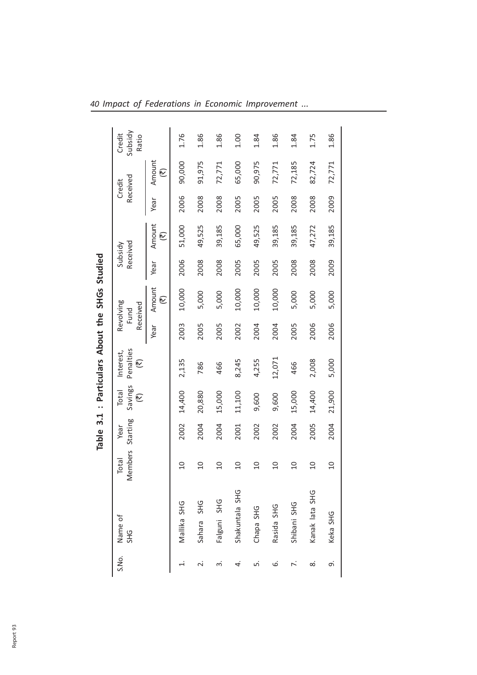|                       |                      |                  | <b>Table</b>     |                       | 3.1 : Particulars About the SHGs Studied |      |                               |                     |             |      |                    |                            |
|-----------------------|----------------------|------------------|------------------|-----------------------|------------------------------------------|------|-------------------------------|---------------------|-------------|------|--------------------|----------------------------|
| Name of<br><b>SHG</b> |                      | Members<br>Total | Starting<br>Year | Savings<br>Total<br>厄 | Penalties<br>Interest,<br>它              |      | Revolving<br>Received<br>Fund | Received<br>Subsidy |             |      | Received<br>Credit | Subsidy<br>Credit<br>Ratio |
|                       |                      |                  |                  |                       |                                          | Year | Amount<br>它                   | Year                | Amount<br>它 | Year | Amount<br>它        |                            |
|                       | Mallika SHG          | $\overline{10}$  | 2002             | 14,400                | 2,135                                    | 2003 | 10,000                        | 2006                | 51,000      | 2006 | 90,000             | 1.76                       |
|                       | <b>SHG</b><br>Sahara | $\overline{0}$   | 2004             | 20,880                | 786                                      | 2005 | 5,000                         | 2008                | 49,525      | 2008 | 91,975             | 1.86                       |
|                       | Falguni SHG          | $\overline{0}$   | 2004             | 15,000                | 466                                      | 2005 | 5,000                         | 2008                | 39,185      | 2008 | 72,771             | 1.86                       |
|                       | Shakuntala SHG       | $\overline{a}$   | 2001             | 11,100                | 8,245                                    | 2002 | 10,000                        | 2005                | 65,000      | 2005 | 65,000             | 1.00                       |
|                       | Chapa SHG            | $\overline{0}$   | 2002             | 9,600                 | 4,255                                    | 2004 | 10,000                        | 2005                | 49,525      | 2005 | 90,975             | 1.84                       |
|                       | Rasida SHG           | $\overline{0}$   | 2002             | 9,600                 | 12,071                                   | 2004 | 10,000                        | 2005                | 39,185      | 2005 | 72,771             | 1.86                       |
|                       | Shibani SHG          | $\overline{0}$   | 2004             | 15,000                | 466                                      | 2005 | 5,000                         | 2008                | 39,185      | 2008 | 72,185             | 1.84                       |
|                       | Kanak lata SHG       | $\overline{0}$   | 2005             | 14,400                | 2,008                                    | 2006 | 5,000                         | 2008                | 47,272      | 2008 | 82,724             | 1.75                       |
|                       | Keka SHG             | $\overline{a}$   | 2004             | 21,900                | 5,000                                    | 2006 | 5,000                         | 2009                | 39,185      | 2009 | 72,771             | 1.86                       |
|                       |                      |                  |                  |                       |                                          |      |                               |                     |             |      |                    |                            |

40 Impact of Federations in Economic Improvement ...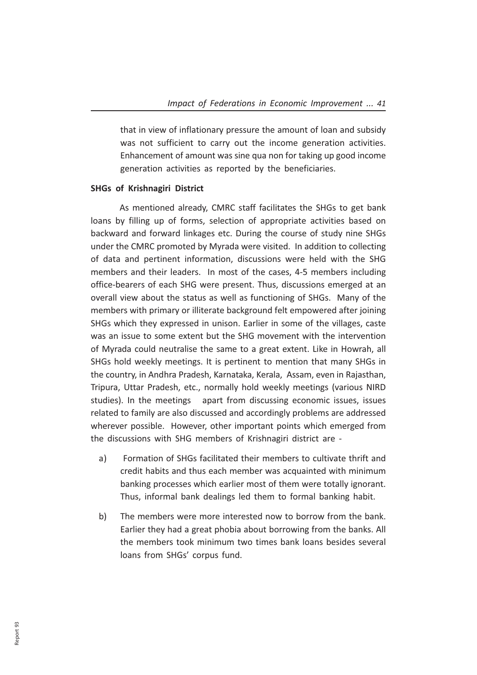that in view of inflationary pressure the amount of loan and subsidy was not sufficient to carry out the income generation activities. Enhancement of amount was sine qua non for taking up good income generation activities as reported by the beneficiaries.

### SHGs of Krishnagiri District

As mentioned already, CMRC staff facilitates the SHGs to get bank loans by filling up of forms, selection of appropriate activities based on backward and forward linkages etc. During the course of study nine SHGs under the CMRC promoted by Myrada were visited. In addition to collecting of data and pertinent information, discussions were held with the SHG members and their leaders. In most of the cases, 4-5 members including office-bearers of each SHG were present. Thus, discussions emerged at an overall view about the status as well as functioning of SHGs. Many of the members with primary or illiterate background felt empowered after joining SHGs which they expressed in unison. Earlier in some of the villages, caste was an issue to some extent but the SHG movement with the intervention of Myrada could neutralise the same to a great extent. Like in Howrah, all SHGs hold weekly meetings. It is pertinent to mention that many SHGs in the country, in Andhra Pradesh, Karnataka, Kerala, Assam, even in Rajasthan, Tripura, Uttar Pradesh, etc., normally hold weekly meetings (various NIRD studies). In the meetings apart from discussing economic issues, issues related to family are also discussed and accordingly problems are addressed wherever possible. However, other important points which emerged from the discussions with SHG members of Krishnagiri district are -

- a) Formation of SHGs facilitated their members to cultivate thrift and credit habits and thus each member was acquainted with minimum banking processes which earlier most of them were totally ignorant. Thus, informal bank dealings led them to formal banking habit.
- b) The members were more interested now to borrow from the bank. Earlier they had a great phobia about borrowing from the banks. All the members took minimum two times bank loans besides several loans from SHGs' corpus fund.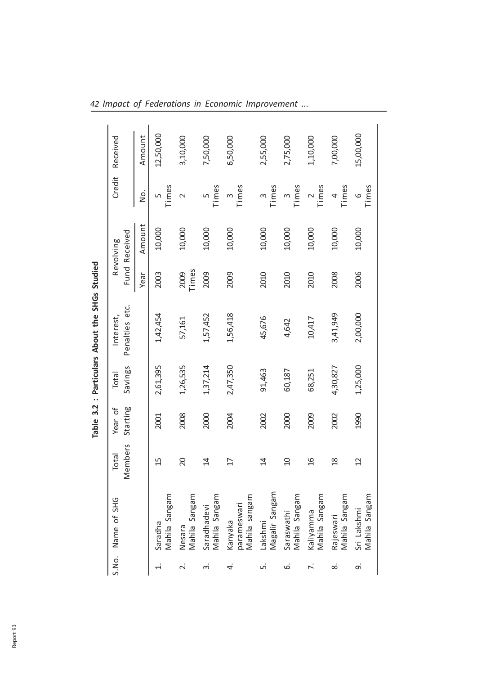|                   |                                         |                   |                     |                  | Table 3.2 : Particulars About the SHGs Studied |               |                            |                  |           |
|-------------------|-----------------------------------------|-------------------|---------------------|------------------|------------------------------------------------|---------------|----------------------------|------------------|-----------|
|                   | S.No. Name of SHG                       | Viembers<br>Total | Starting<br>Year of | Savings<br>Total | Penalties etc.<br>Interest,                    |               | Fund Received<br>Revolving | Credit           | Received  |
|                   |                                         |                   |                     |                  |                                                | Year          | Amount                     | .<br>2           | Amount    |
|                   | Mahila Sangam<br>Saradha                | 15                | 2001                | 2,61,395         | 1,42,454                                       | 2003          | 10,000                     | Times<br>5       | 12,50,000 |
| $\overline{\sim}$ | Mahila Sangam<br>Nesara                 | 20                | 2008                | 1,26,535         | 57,161                                         | 2009<br>Times | 10,000                     | $\sim$           | 3,10,000  |
| ന്                | Mahila Sangam<br>Saradhadevi            | 4                 | 2000                | 1,37,214         | 1,57,452                                       | 2009          | 10,000                     | Times<br>Ь٥      | 7,50,000  |
| 4                 | Mahila sangam<br>parameswari<br>Kanyaka | $\overline{17}$   | 2004                | 2,47,350         | 1,56,418                                       | 2009          | 10,000                     | Times<br>3       | 6,50,000  |
| ட்                | Magalir Sangam<br>Lakshmi               | $\overline{4}$    | 2002                | 91,463           | 45,676                                         | 2010          | 10,000                     | Times<br>m       | 2,55,000  |
| .<br>ف            | Mahila Sangam<br>Saraswathi             | $\Omega$          | 2000                | 60,187           | 4,642                                          | 2010          | 10,000                     | Times            | 2,75,000  |
|                   | Kaliyamma<br>Mahila Sangam              | 9J                | 2009                | 68,251           | 10,417                                         | 2010          | 10,000                     | Times            | 1,10,000  |
| ∞ं                | Rajeswari<br>Mahila Sangam              | $\frac{8}{10}$    | 2002                | 4,30,827         | 3,41,949                                       | 2008          | 10,000                     | Times<br>4       | 7,00,000  |
| o,                | Mahila Sangam<br>Sri Lakshmi            | 2                 | 1990                | 1,25,000         | 2,00,000                                       | 2006          | 10,000                     | Times<br>$\circ$ | 15,00,000 |

42 Impact of Federations in Economic Improvement ...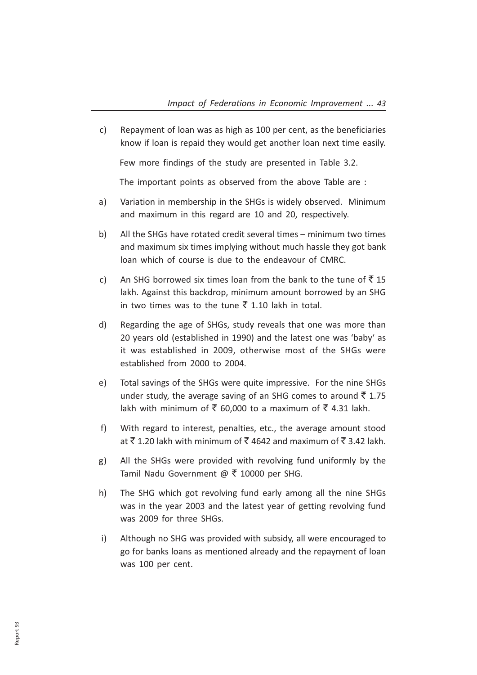c) Repayment of loan was as high as 100 per cent, as the beneficiaries know if loan is repaid they would get another loan next time easily.

Few more findings of the study are presented in Table 3.2.

The important points as observed from the above Table are :

- a) Variation in membership in the SHGs is widely observed. Minimum and maximum in this regard are 10 and 20, respectively.
- b) All the SHGs have rotated credit several times minimum two times and maximum six times implying without much hassle they got bank loan which of course is due to the endeavour of CMRC.
- c) An SHG borrowed six times loan from the bank to the tune of  $\bar{z}$  15 lakh. Against this backdrop, minimum amount borrowed by an SHG in two times was to the tune  $\bar{\tau}$  1.10 lakh in total.
- d) Regarding the age of SHGs, study reveals that one was more than 20 years old (established in 1990) and the latest one was 'baby' as it was established in 2009, otherwise most of the SHGs were established from 2000 to 2004.
- e) Total savings of the SHGs were quite impressive. For the nine SHGs under study, the average saving of an SHG comes to around  $\bar{\bar{\xi}}$  1.75 lakh with minimum of  $\bar{\xi}$  60,000 to a maximum of  $\bar{\xi}$  4.31 lakh.
- f) With regard to interest, penalties, etc., the average amount stood at  $\bar{\tau}$  1.20 lakh with minimum of  $\bar{\tau}$  4642 and maximum of  $\bar{\tau}$  3.42 lakh.
- g) All the SHGs were provided with revolving fund uniformly by the Tamil Nadu Government  $@ \space \overline{5}$  10000 per SHG.
- h) The SHG which got revolving fund early among all the nine SHGs was in the year 2003 and the latest year of getting revolving fund was 2009 for three SHGs.
- i) Although no SHG was provided with subsidy, all were encouraged to go for banks loans as mentioned already and the repayment of loan was 100 per cent.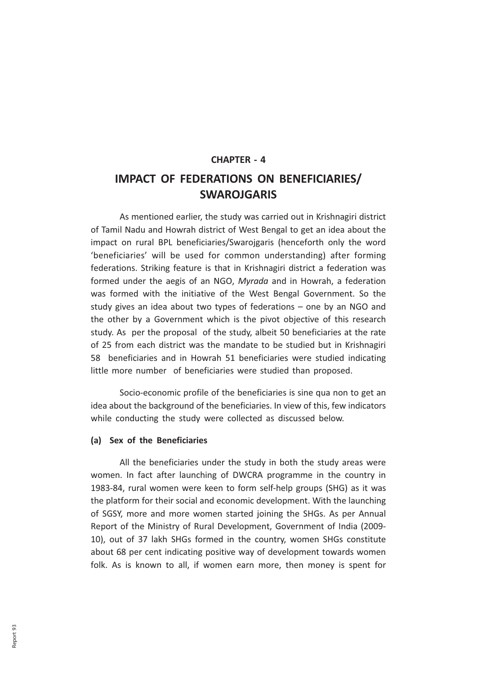# CHAPTER - 4 IMPACT OF FEDERATIONS ON BENEFICIARIES/ SWAROJGARIS

As mentioned earlier, the study was carried out in Krishnagiri district of Tamil Nadu and Howrah district of West Bengal to get an idea about the impact on rural BPL beneficiaries/Swarojgaris (henceforth only the word 'beneficiaries' will be used for common understanding) after forming federations. Striking feature is that in Krishnagiri district a federation was formed under the aegis of an NGO, Myrada and in Howrah, a federation was formed with the initiative of the West Bengal Government. So the study gives an idea about two types of federations – one by an NGO and the other by a Government which is the pivot objective of this research study. As per the proposal of the study, albeit 50 beneficiaries at the rate of 25 from each district was the mandate to be studied but in Krishnagiri 58 beneficiaries and in Howrah 51 beneficiaries were studied indicating little more number of beneficiaries were studied than proposed.

Socio-economic profile of the beneficiaries is sine qua non to get an idea about the background of the beneficiaries. In view of this, few indicators while conducting the study were collected as discussed below.

# (a) Sex of the Beneficiaries

All the beneficiaries under the study in both the study areas were women. In fact after launching of DWCRA programme in the country in 1983-84, rural women were keen to form self-help groups (SHG) as it was the platform for their social and economic development. With the launching of SGSY, more and more women started joining the SHGs. As per Annual Report of the Ministry of Rural Development, Government of India (2009- 10), out of 37 lakh SHGs formed in the country, women SHGs constitute about 68 per cent indicating positive way of development towards women folk. As is known to all, if women earn more, then money is spent for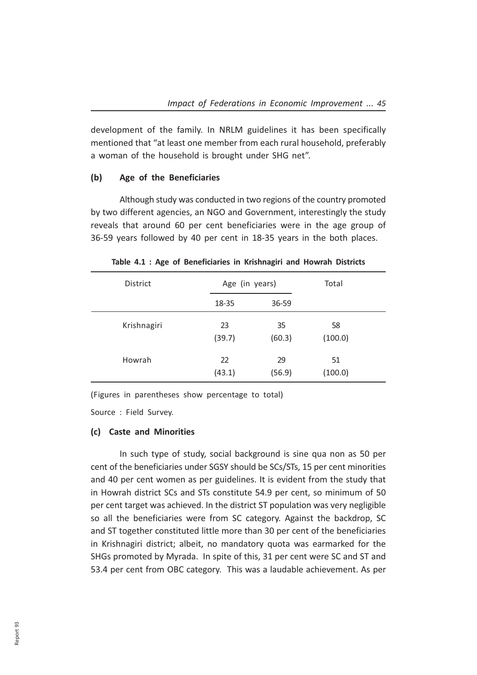development of the family. In NRLM guidelines it has been specifically mentioned that "at least one member from each rural household, preferably a woman of the household is brought under SHG net".

# (b) Age of the Beneficiaries

Although study was conducted in two regions of the country promoted by two different agencies, an NGO and Government, interestingly the study reveals that around 60 per cent beneficiaries were in the age group of 36-59 years followed by 40 per cent in 18-35 years in the both places.

| <b>District</b> | Age (in years) |              | Total         |  |
|-----------------|----------------|--------------|---------------|--|
|                 | 18-35          | 36-59        |               |  |
| Krishnagiri     | 23<br>(39.7)   | 35<br>(60.3) | 58<br>(100.0) |  |
| Howrah          | 22<br>(43.1)   | 29<br>(56.9) | 51<br>(100.0) |  |

Table 4.1 : Age of Beneficiaries in Krishnagiri and Howrah Districts

(Figures in parentheses show percentage to total)

Source : Field Survey.

### (c) Caste and Minorities

In such type of study, social background is sine qua non as 50 per cent of the beneficiaries under SGSY should be SCs/STs, 15 per cent minorities and 40 per cent women as per guidelines. It is evident from the study that in Howrah district SCs and STs constitute 54.9 per cent, so minimum of 50 per cent target was achieved. In the district ST population was very negligible so all the beneficiaries were from SC category. Against the backdrop, SC and ST together constituted little more than 30 per cent of the beneficiaries in Krishnagiri district; albeit, no mandatory quota was earmarked for the SHGs promoted by Myrada. In spite of this, 31 per cent were SC and ST and 53.4 per cent from OBC category. This was a laudable achievement. As per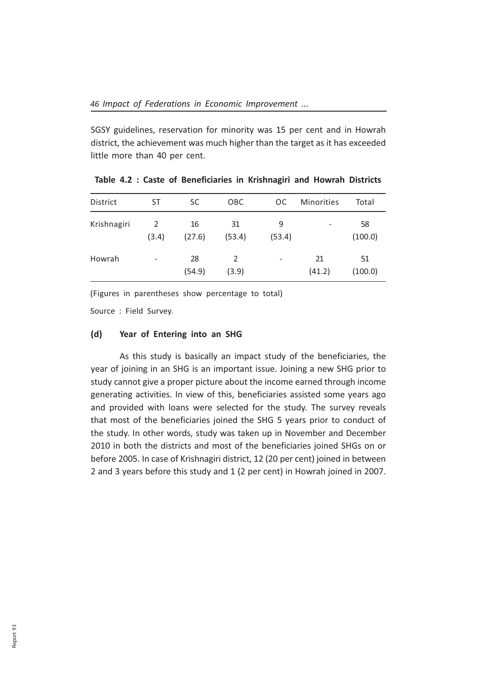SGSY guidelines, reservation for minority was 15 per cent and in Howrah district, the achievement was much higher than the target as it has exceeded little more than 40 per cent.

| District    | ST                       | SC.          | OBC          | <b>OC</b>      | <b>Minorities</b> | Total         |
|-------------|--------------------------|--------------|--------------|----------------|-------------------|---------------|
| Krishnagiri | 2<br>(3.4)               | 16<br>(27.6) | 31<br>(53.4) | 9<br>(53.4)    |                   | 58<br>(100.0) |
| Howrah      | $\overline{\phantom{a}}$ | 28<br>(54.9) | 2<br>(3.9)   | $\overline{a}$ | 21<br>(41.2)      | 51<br>(100.0) |

Table 4.2 : Caste of Beneficiaries in Krishnagiri and Howrah Districts

(Figures in parentheses show percentage to total)

Source : Field Survey.

### (d) Year of Entering into an SHG

As this study is basically an impact study of the beneficiaries, the year of joining in an SHG is an important issue. Joining a new SHG prior to study cannot give a proper picture about the income earned through income generating activities. In view of this, beneficiaries assisted some years ago and provided with loans were selected for the study. The survey reveals that most of the beneficiaries joined the SHG 5 years prior to conduct of the study. In other words, study was taken up in November and December 2010 in both the districts and most of the beneficiaries joined SHGs on or before 2005. In case of Krishnagiri district, 12 (20 per cent) joined in between 2 and 3 years before this study and 1 (2 per cent) in Howrah joined in 2007.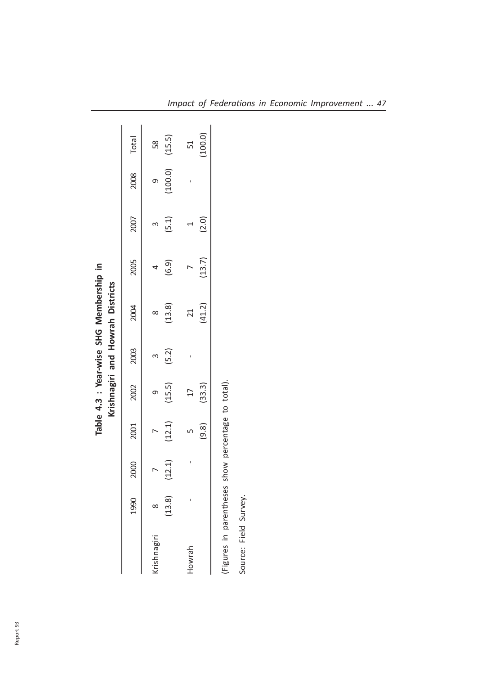|                    |        |        | Krishnagiri and Howrah Districts |           |                |        |       |                    |         |
|--------------------|--------|--------|----------------------------------|-----------|----------------|--------|-------|--------------------|---------|
| 1990               | 2000   | 2001   |                                  | 2002 2003 | 2004           | 2005   | 2007  | 2008 Total         |         |
| <b>crishnagiri</b> |        |        | ᡡ                                |           |                |        |       | თ                  | 58      |
| (13.8)             | (1, 2) | (12.1) | (15.5)                           | (5.2)     | (13.8)         | (6.9)  | (5.1) | $(100.0)$ $(15.5)$ |         |
| Howrah             |        |        | $\overline{17}$                  |           | $\overline{z}$ |        |       |                    | 51      |
|                    |        |        | $(9.8)$ $(33.3)$                 |           | (41.2)         | (13.7) | (2.0) |                    | (100.0) |

Source: Field Survey.

Source: Field Survey.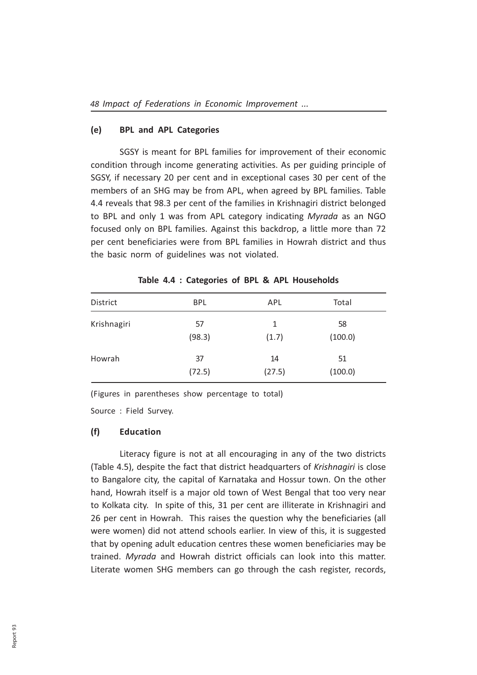### (e) BPL and APL Categories

SGSY is meant for BPL families for improvement of their economic condition through income generating activities. As per guiding principle of SGSY, if necessary 20 per cent and in exceptional cases 30 per cent of the members of an SHG may be from APL, when agreed by BPL families. Table 4.4 reveals that 98.3 per cent of the families in Krishnagiri district belonged to BPL and only 1 was from APL category indicating Myrada as an NGO focused only on BPL families. Against this backdrop, a little more than 72 per cent beneficiaries were from BPL families in Howrah district and thus the basic norm of guidelines was not violated.

| District    | <b>BPL</b>   | APL          | Total         |  |
|-------------|--------------|--------------|---------------|--|
| Krishnagiri | 57<br>(98.3) | 1<br>(1.7)   | 58<br>(100.0) |  |
| Howrah      | 37<br>(72.5) | 14<br>(27.5) | 51<br>(100.0) |  |

Table 4.4 : Categories of BPL & APL Households

(Figures in parentheses show percentage to total)

Source : Field Survey.

### (f) Education

Literacy figure is not at all encouraging in any of the two districts (Table 4.5), despite the fact that district headquarters of Krishnagiri is close to Bangalore city, the capital of Karnataka and Hossur town. On the other hand, Howrah itself is a major old town of West Bengal that too very near to Kolkata city. In spite of this, 31 per cent are illiterate in Krishnagiri and 26 per cent in Howrah. This raises the question why the beneficiaries (all were women) did not attend schools earlier. In view of this, it is suggested that by opening adult education centres these women beneficiaries may be trained. Myrada and Howrah district officials can look into this matter. Literate women SHG members can go through the cash register, records,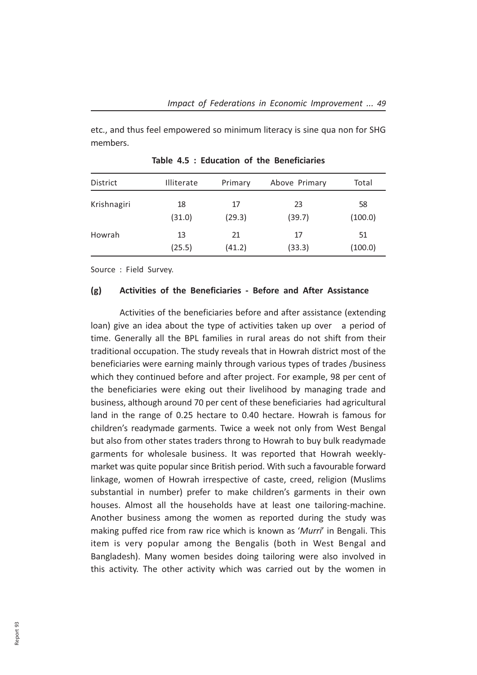etc., and thus feel empowered so minimum literacy is sine qua non for SHG members.

| District    | <b>Illiterate</b> | Primary | Above Primary | Total   |
|-------------|-------------------|---------|---------------|---------|
| Krishnagiri | 18                | 17      | 23            | 58      |
|             | (31.0)            | (29.3)  | (39.7)        | (100.0) |
| Howrah      | 13                | 21      | 17            | 51      |
|             | (25.5)            | (41.2)  | (33.3)        | (100.0) |

Table 4.5 : Education of the Beneficiaries

Source : Field Survey.

# (g) Activities of the Beneficiaries - Before and After Assistance

Activities of the beneficiaries before and after assistance (extending loan) give an idea about the type of activities taken up over a period of time. Generally all the BPL families in rural areas do not shift from their traditional occupation. The study reveals that in Howrah district most of the beneficiaries were earning mainly through various types of trades /business which they continued before and after project. For example, 98 per cent of the beneficiaries were eking out their livelihood by managing trade and business, although around 70 per cent of these beneficiaries had agricultural land in the range of 0.25 hectare to 0.40 hectare. Howrah is famous for children's readymade garments. Twice a week not only from West Bengal but also from other states traders throng to Howrah to buy bulk readymade garments for wholesale business. It was reported that Howrah weeklymarket was quite popular since British period. With such a favourable forward linkage, women of Howrah irrespective of caste, creed, religion (Muslims substantial in number) prefer to make children's garments in their own houses. Almost all the households have at least one tailoring-machine. Another business among the women as reported during the study was making puffed rice from raw rice which is known as 'Murri' in Bengali. This item is very popular among the Bengalis (both in West Bengal and Bangladesh). Many women besides doing tailoring were also involved in this activity. The other activity which was carried out by the women in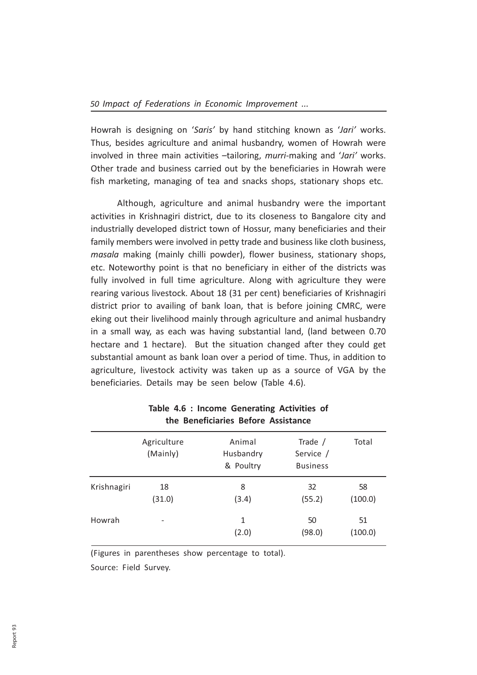Howrah is designing on 'Saris' by hand stitching known as 'Jari' works. Thus, besides agriculture and animal husbandry, women of Howrah were involved in three main activities –tailoring, murri-making and 'Jari' works. Other trade and business carried out by the beneficiaries in Howrah were fish marketing, managing of tea and snacks shops, stationary shops etc.

 Although, agriculture and animal husbandry were the important activities in Krishnagiri district, due to its closeness to Bangalore city and industrially developed district town of Hossur, many beneficiaries and their family members were involved in petty trade and business like cloth business, masala making (mainly chilli powder), flower business, stationary shops, etc. Noteworthy point is that no beneficiary in either of the districts was fully involved in full time agriculture. Along with agriculture they were rearing various livestock. About 18 (31 per cent) beneficiaries of Krishnagiri district prior to availing of bank loan, that is before joining CMRC, were eking out their livelihood mainly through agriculture and animal husbandry in a small way, as each was having substantial land, (land between 0.70 hectare and 1 hectare). But the situation changed after they could get substantial amount as bank loan over a period of time. Thus, in addition to agriculture, livestock activity was taken up as a source of VGA by the beneficiaries. Details may be seen below (Table 4.6).

|             | Agriculture<br>(Mainly) | Animal<br>Husbandry<br>& Poultry | Trade $/$<br>Service /<br><b>Business</b> | Total         |
|-------------|-------------------------|----------------------------------|-------------------------------------------|---------------|
| Krishnagiri | 18<br>(31.0)            | 8<br>(3.4)                       | 32<br>(55.2)                              | 58<br>(100.0) |
| Howrah      | $\qquad \qquad$         | 1<br>(2.0)                       | 50<br>(98.0)                              | 51<br>(100.0) |

# Table 4.6 : Income Generating Activities of the Beneficiaries Before Assistance

(Figures in parentheses show percentage to total). Source: Field Survey.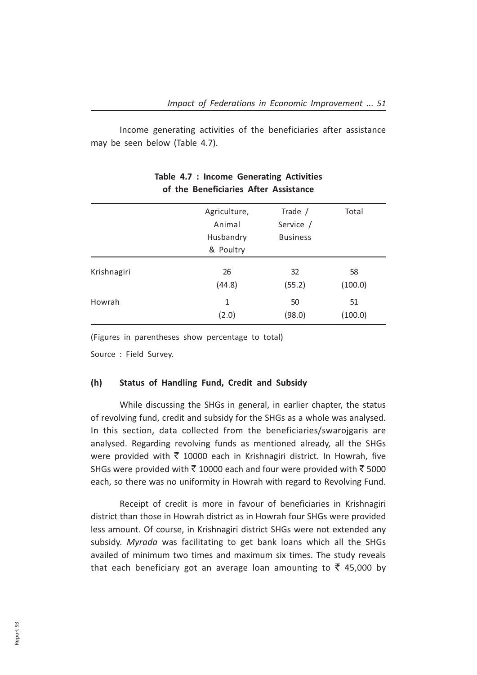Income generating activities of the beneficiaries after assistance may be seen below (Table 4.7).

|             | Agriculture,<br>Animal<br>Husbandry<br>& Poultry | Trade $/$<br>Service /<br><b>Business</b> | Total   |
|-------------|--------------------------------------------------|-------------------------------------------|---------|
| Krishnagiri | 26                                               | 32                                        | 58      |
|             | (44.8)                                           | (55.2)                                    | (100.0) |
| Howrah      | 1                                                | 50                                        | 51      |
|             | (2.0)                                            | (98.0)                                    | (100.0) |

# Table 4.7 : Income Generating Activities of the Beneficiaries After Assistance

(Figures in parentheses show percentage to total)

Source : Field Survey.

### (h) Status of Handling Fund, Credit and Subsidy

While discussing the SHGs in general, in earlier chapter, the status of revolving fund, credit and subsidy for the SHGs as a whole was analysed. In this section, data collected from the beneficiaries/swarojgaris are analysed. Regarding revolving funds as mentioned already, all the SHGs were provided with  $\bar{\zeta}$  10000 each in Krishnagiri district. In Howrah, five SHGs were provided with  $\bar{\tau}$  10000 each and four were provided with  $\bar{\tau}$  5000 each, so there was no uniformity in Howrah with regard to Revolving Fund.

Receipt of credit is more in favour of beneficiaries in Krishnagiri district than those in Howrah district as in Howrah four SHGs were provided less amount. Of course, in Krishnagiri district SHGs were not extended any subsidy. Myrada was facilitating to get bank loans which all the SHGs availed of minimum two times and maximum six times. The study reveals that each beneficiary got an average loan amounting to  $\bar{\tau}$  45,000 by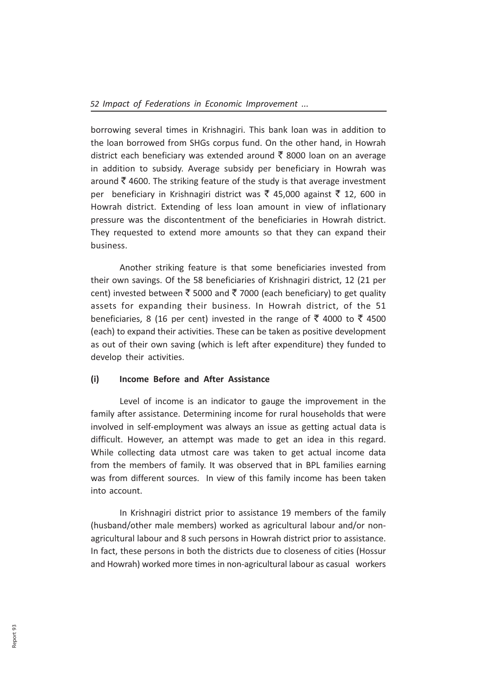borrowing several times in Krishnagiri. This bank loan was in addition to the loan borrowed from SHGs corpus fund. On the other hand, in Howrah district each beneficiary was extended around  $\bar{\tau}$  8000 loan on an average in addition to subsidy. Average subsidy per beneficiary in Howrah was around  $\bar{\tau}$  4600. The striking feature of the study is that average investment per beneficiary in Krishnagiri district was  $\bar{\xi}$  45,000 against  $\bar{\xi}$  12, 600 in Howrah district. Extending of less loan amount in view of inflationary pressure was the discontentment of the beneficiaries in Howrah district. They requested to extend more amounts so that they can expand their business.

Another striking feature is that some beneficiaries invested from their own savings. Of the 58 beneficiaries of Krishnagiri district, 12 (21 per cent) invested between  $\bar{\tau}$  5000 and  $\bar{\tau}$  7000 (each beneficiary) to get quality assets for expanding their business. In Howrah district, of the 51 beneficiaries, 8 (16 per cent) invested in the range of  $\bar{\tau}$  4000 to  $\bar{\tau}$  4500 (each) to expand their activities. These can be taken as positive development as out of their own saving (which is left after expenditure) they funded to develop their activities.

# (i) Income Before and After Assistance

Level of income is an indicator to gauge the improvement in the family after assistance. Determining income for rural households that were involved in self-employment was always an issue as getting actual data is difficult. However, an attempt was made to get an idea in this regard. While collecting data utmost care was taken to get actual income data from the members of family. It was observed that in BPL families earning was from different sources. In view of this family income has been taken into account.

In Krishnagiri district prior to assistance 19 members of the family (husband/other male members) worked as agricultural labour and/or nonagricultural labour and 8 such persons in Howrah district prior to assistance. In fact, these persons in both the districts due to closeness of cities (Hossur and Howrah) worked more times in non-agricultural labour as casual workers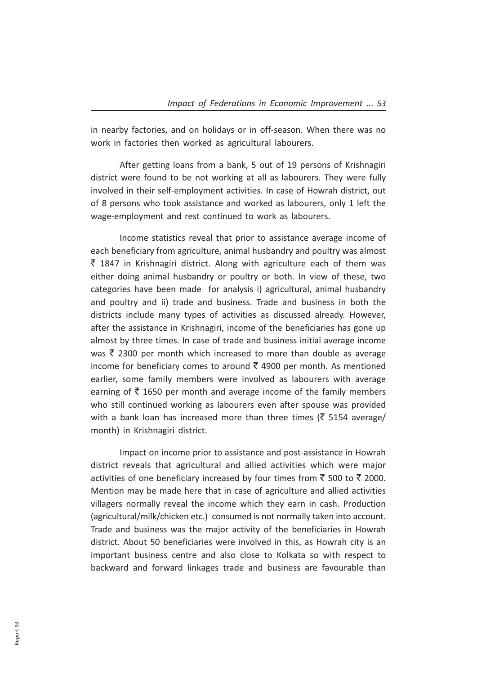in nearby factories, and on holidays or in off-season. When there was no work in factories then worked as agricultural labourers.

After getting loans from a bank, 5 out of 19 persons of Krishnagiri district were found to be not working at all as labourers. They were fully involved in their self-employment activities. In case of Howrah district, out of 8 persons who took assistance and worked as labourers, only 1 left the wage-employment and rest continued to work as labourers.

Income statistics reveal that prior to assistance average income of each beneficiary from agriculture, animal husbandry and poultry was almost  $\bar{\tau}$  1847 in Krishnagiri district. Along with agriculture each of them was either doing animal husbandry or poultry or both. In view of these, two categories have been made for analysis i) agricultural, animal husbandry and poultry and ii) trade and business. Trade and business in both the districts include many types of activities as discussed already. However, after the assistance in Krishnagiri, income of the beneficiaries has gone up almost by three times. In case of trade and business initial average income was  $\bar{\tau}$  2300 per month which increased to more than double as average income for beneficiary comes to around  $\bar{\tau}$  4900 per month. As mentioned earlier, some family members were involved as labourers with average earning of  $\bar{\tau}$  1650 per month and average income of the family members who still continued working as labourers even after spouse was provided with a bank loan has increased more than three times ( $\bar{\tau}$  5154 average/ month) in Krishnagiri district.

Impact on income prior to assistance and post-assistance in Howrah district reveals that agricultural and allied activities which were major activities of one beneficiary increased by four times from ₹ 500 to ₹ 2000. Mention may be made here that in case of agriculture and allied activities villagers normally reveal the income which they earn in cash. Production (agricultural/milk/chicken etc.) consumed is not normally taken into account. Trade and business was the major activity of the beneficiaries in Howrah district. About 50 beneficiaries were involved in this, as Howrah city is an important business centre and also close to Kolkata so with respect to backward and forward linkages trade and business are favourable than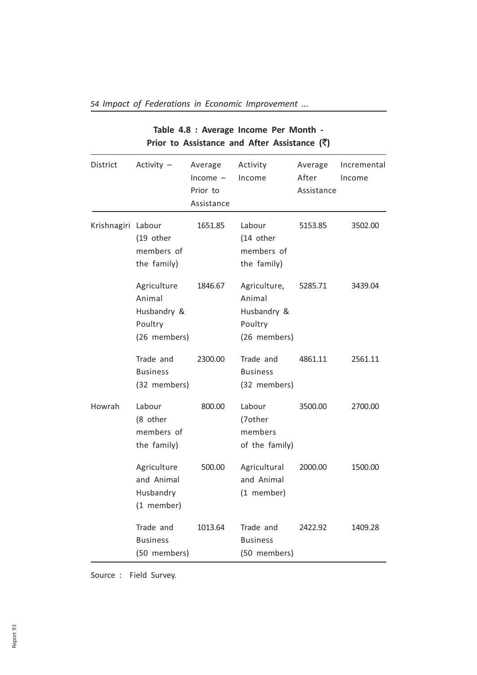|                    |                                                                 |                                                 |                                                                  | Prior to Assistance and After Assistance $(\bar{\zeta})$ |                       |  |  |  |
|--------------------|-----------------------------------------------------------------|-------------------------------------------------|------------------------------------------------------------------|----------------------------------------------------------|-----------------------|--|--|--|
| District           | Activity $-$                                                    | Average<br>$Income -$<br>Prior to<br>Assistance | Activity<br>Income                                               | Average<br>After<br>Assistance                           | Incremental<br>Income |  |  |  |
| Krishnagiri Labour | (19 other<br>members of<br>the family)                          | 1651.85                                         | Labour<br>(14 other<br>members of<br>the family)                 | 5153.85                                                  | 3502.00               |  |  |  |
|                    | Agriculture<br>Animal<br>Husbandry &<br>Poultry<br>(26 members) | 1846.67                                         | Agriculture,<br>Animal<br>Husbandry &<br>Poultry<br>(26 members) | 5285.71                                                  | 3439.04               |  |  |  |
|                    | Trade and<br><b>Business</b><br>(32 members)                    | 2300.00                                         | Trade and<br><b>Business</b><br>(32 members)                     | 4861.11                                                  | 2561.11               |  |  |  |
| Howrah             | Labour<br>(8 other<br>members of<br>the family)                 | 800.00                                          | Labour<br>(7other<br>members<br>of the family)                   | 3500.00                                                  | 2700.00               |  |  |  |
|                    | Agriculture<br>and Animal<br>Husbandry<br>(1 member)            | 500.00                                          | Agricultural<br>and Animal<br>(1 member)                         | 2000.00                                                  | 1500.00               |  |  |  |
|                    | Trade and<br><b>Business</b><br>(50 members)                    | 1013.64                                         | Trade and<br><b>Business</b><br>(50 members)                     | 2422.92                                                  | 1409.28               |  |  |  |

54 Impact of Federations in Economic Improvement ...

Table 4.8 : Average Income Per Month -

Source : Field Survey.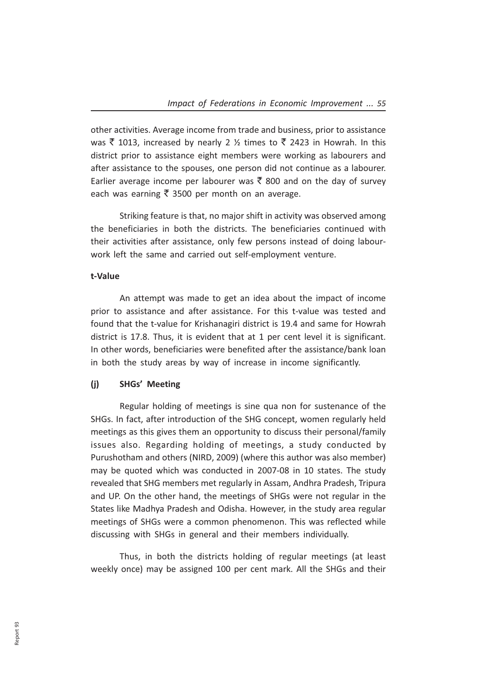other activities. Average income from trade and business, prior to assistance was  $\bar{\tau}$  1013, increased by nearly 2  $\frac{1}{2}$  times to  $\bar{\tau}$  2423 in Howrah. In this district prior to assistance eight members were working as labourers and after assistance to the spouses, one person did not continue as a labourer. Earlier average income per labourer was  $\bar{\tau}$  800 and on the day of survey each was earning  $\bar{\tau}$  3500 per month on an average.

Striking feature is that, no major shift in activity was observed among the beneficiaries in both the districts. The beneficiaries continued with their activities after assistance, only few persons instead of doing labourwork left the same and carried out self-employment venture.

### t-Value

An attempt was made to get an idea about the impact of income prior to assistance and after assistance. For this t-value was tested and found that the t-value for Krishanagiri district is 19.4 and same for Howrah district is 17.8. Thus, it is evident that at 1 per cent level it is significant. In other words, beneficiaries were benefited after the assistance/bank loan in both the study areas by way of increase in income significantly.

### (j) SHGs' Meeting

Regular holding of meetings is sine qua non for sustenance of the SHGs. In fact, after introduction of the SHG concept, women regularly held meetings as this gives them an opportunity to discuss their personal/family issues also. Regarding holding of meetings, a study conducted by Purushotham and others (NIRD, 2009) (where this author was also member) may be quoted which was conducted in 2007-08 in 10 states. The study revealed that SHG members met regularly in Assam, Andhra Pradesh, Tripura and UP. On the other hand, the meetings of SHGs were not regular in the States like Madhya Pradesh and Odisha. However, in the study area regular meetings of SHGs were a common phenomenon. This was reflected while discussing with SHGs in general and their members individually.

Thus, in both the districts holding of regular meetings (at least weekly once) may be assigned 100 per cent mark. All the SHGs and their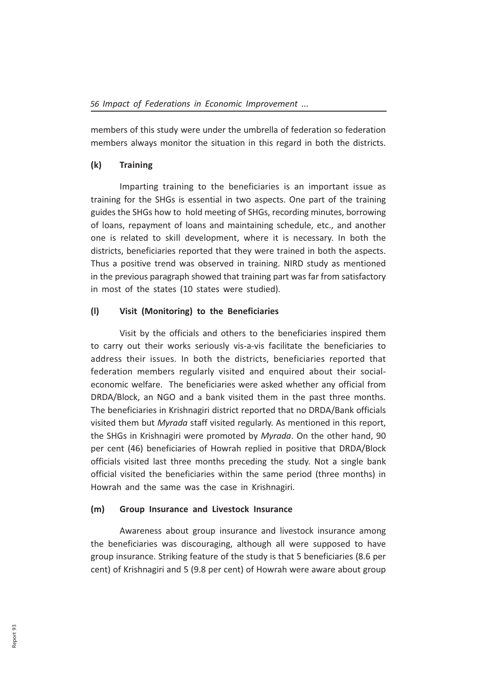members of this study were under the umbrella of federation so federation members always monitor the situation in this regard in both the districts.

# (k) Training

Imparting training to the beneficiaries is an important issue as training for the SHGs is essential in two aspects. One part of the training guides the SHGs how to hold meeting of SHGs, recording minutes, borrowing of loans, repayment of loans and maintaining schedule, etc., and another one is related to skill development, where it is necessary. In both the districts, beneficiaries reported that they were trained in both the aspects. Thus a positive trend was observed in training. NIRD study as mentioned in the previous paragraph showed that training part was far from satisfactory in most of the states (10 states were studied).

# (l) Visit (Monitoring) to the Beneficiaries

Visit by the officials and others to the beneficiaries inspired them to carry out their works seriously vis-a-vis facilitate the beneficiaries to address their issues. In both the districts, beneficiaries reported that federation members regularly visited and enquired about their socialeconomic welfare. The beneficiaries were asked whether any official from DRDA/Block, an NGO and a bank visited them in the past three months. The beneficiaries in Krishnagiri district reported that no DRDA/Bank officials visited them but Myrada staff visited regularly. As mentioned in this report, the SHGs in Krishnagiri were promoted by Myrada. On the other hand, 90 per cent (46) beneficiaries of Howrah replied in positive that DRDA/Block officials visited last three months preceding the study. Not a single bank official visited the beneficiaries within the same period (three months) in Howrah and the same was the case in Krishnagiri.

# (m) Group Insurance and Livestock Insurance

Awareness about group insurance and livestock insurance among the beneficiaries was discouraging, although all were supposed to have group insurance. Striking feature of the study is that 5 beneficiaries (8.6 per cent) of Krishnagiri and 5 (9.8 per cent) of Howrah were aware about group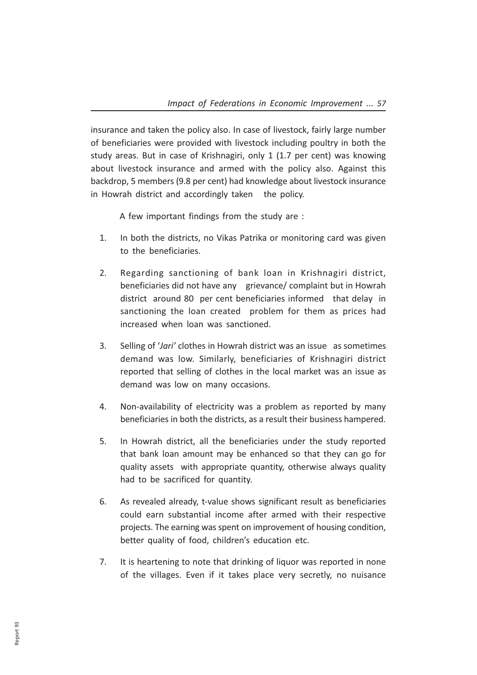insurance and taken the policy also. In case of livestock, fairly large number of beneficiaries were provided with livestock including poultry in both the study areas. But in case of Krishnagiri, only 1 (1.7 per cent) was knowing about livestock insurance and armed with the policy also. Against this backdrop, 5 members (9.8 per cent) had knowledge about livestock insurance in Howrah district and accordingly taken the policy.

A few important findings from the study are :

- 1. In both the districts, no Vikas Patrika or monitoring card was given to the beneficiaries.
- 2. Regarding sanctioning of bank loan in Krishnagiri district, beneficiaries did not have any grievance/ complaint but in Howrah district around 80 per cent beneficiaries informed that delay in sanctioning the loan created problem for them as prices had increased when loan was sanctioned.
- 3. Selling of 'Jari' clothes in Howrah district was an issue as sometimes demand was low. Similarly, beneficiaries of Krishnagiri district reported that selling of clothes in the local market was an issue as demand was low on many occasions.
- 4. Non-availability of electricity was a problem as reported by many beneficiaries in both the districts, as a result their business hampered.
- 5. In Howrah district, all the beneficiaries under the study reported that bank loan amount may be enhanced so that they can go for quality assets with appropriate quantity, otherwise always quality had to be sacrificed for quantity.
- 6. As revealed already, t-value shows significant result as beneficiaries could earn substantial income after armed with their respective projects. The earning was spent on improvement of housing condition, better quality of food, children's education etc.
- 7. It is heartening to note that drinking of liquor was reported in none of the villages. Even if it takes place very secretly, no nuisance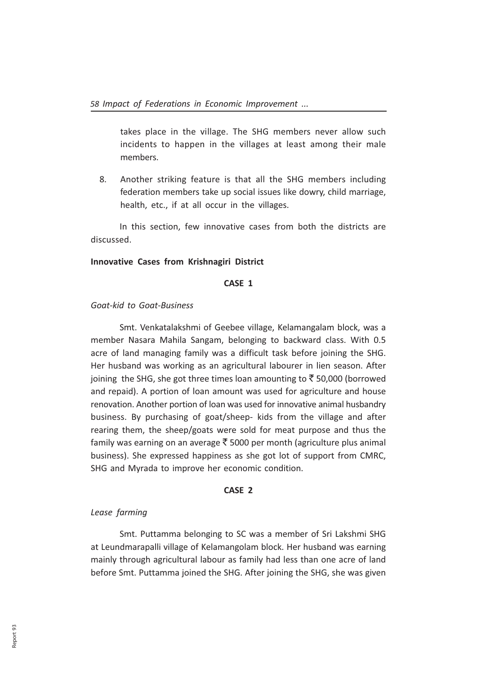takes place in the village. The SHG members never allow such incidents to happen in the villages at least among their male members.

8. Another striking feature is that all the SHG members including federation members take up social issues like dowry, child marriage, health, etc., if at all occur in the villages.

In this section, few innovative cases from both the districts are discussed.

### Innovative Cases from Krishnagiri District

#### CASE 1

### Goat-kid to Goat-Business

Smt. Venkatalakshmi of Geebee village, Kelamangalam block, was a member Nasara Mahila Sangam, belonging to backward class. With 0.5 acre of land managing family was a difficult task before joining the SHG. Her husband was working as an agricultural labourer in lien season. After joining the SHG, she got three times loan amounting to  $\bar{\tau}$  50,000 (borrowed and repaid). A portion of loan amount was used for agriculture and house renovation. Another portion of loan was used for innovative animal husbandry business. By purchasing of goat/sheep- kids from the village and after rearing them, the sheep/goats were sold for meat purpose and thus the family was earning on an average  $\bar{\tau}$  5000 per month (agriculture plus animal business). She expressed happiness as she got lot of support from CMRC, SHG and Myrada to improve her economic condition.

### CASE 2

### Lease farming

Smt. Puttamma belonging to SC was a member of Sri Lakshmi SHG at Leundmarapalli village of Kelamangolam block. Her husband was earning mainly through agricultural labour as family had less than one acre of land before Smt. Puttamma joined the SHG. After joining the SHG, she was given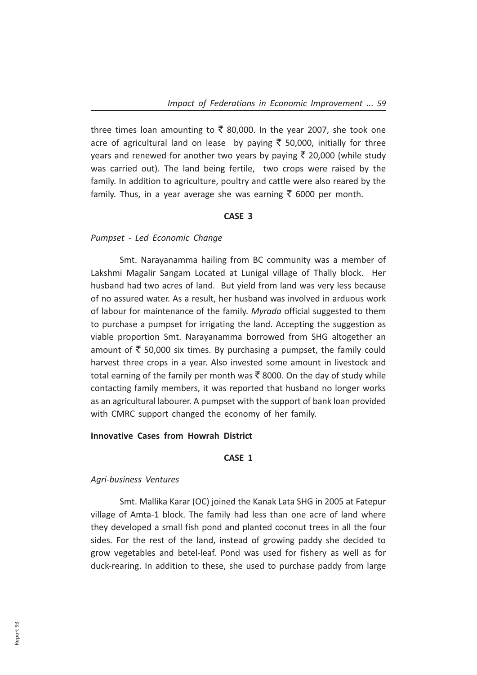three times loan amounting to  $\bar{\zeta}$  80,000. In the year 2007, she took one acre of agricultural land on lease by paying  $\bar{\tau}$  50,000, initially for three years and renewed for another two years by paying  $\bar{\tau}$  20,000 (while study was carried out). The land being fertile, two crops were raised by the family. In addition to agriculture, poultry and cattle were also reared by the family. Thus, in a year average she was earning  $\bar{\tau}$  6000 per month.

## CASE 3

## Pumpset - Led Economic Change

Smt. Narayanamma hailing from BC community was a member of Lakshmi Magalir Sangam Located at Lunigal village of Thally block. Her husband had two acres of land. But yield from land was very less because of no assured water. As a result, her husband was involved in arduous work of labour for maintenance of the family. Myrada official suggested to them to purchase a pumpset for irrigating the land. Accepting the suggestion as viable proportion Smt. Narayanamma borrowed from SHG altogether an amount of  $\bar{\tau}$  50,000 six times. By purchasing a pumpset, the family could harvest three crops in a year. Also invested some amount in livestock and total earning of the family per month was  $\bar{\tau}$  8000. On the day of study while contacting family members, it was reported that husband no longer works as an agricultural labourer. A pumpset with the support of bank loan provided with CMRC support changed the economy of her family.

### Innovative Cases from Howrah District

## CASE 1

### Agri-business Ventures

Smt. Mallika Karar (OC) joined the Kanak Lata SHG in 2005 at Fatepur village of Amta-1 block. The family had less than one acre of land where they developed a small fish pond and planted coconut trees in all the four sides. For the rest of the land, instead of growing paddy she decided to grow vegetables and betel-leaf. Pond was used for fishery as well as for duck-rearing. In addition to these, she used to purchase paddy from large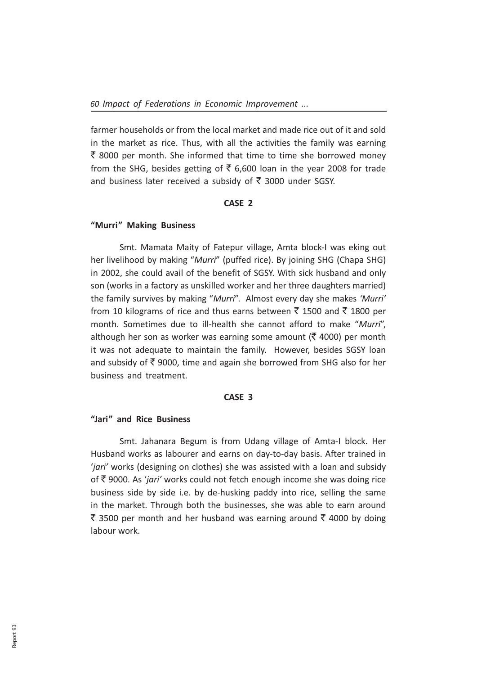farmer households or from the local market and made rice out of it and sold in the market as rice. Thus, with all the activities the family was earning  $\bar{\tau}$  8000 per month. She informed that time to time she borrowed money from the SHG, besides getting of  $\bar{\tau}$  6,600 loan in the year 2008 for trade and business later received a subsidy of  $\bar{\tau}$  3000 under SGSY.

### CASE 2

### "Murri" Making Business

Smt. Mamata Maity of Fatepur village, Amta block-I was eking out her livelihood by making "Murri" (puffed rice). By joining SHG (Chapa SHG) in 2002, she could avail of the benefit of SGSY. With sick husband and only son (works in a factory as unskilled worker and her three daughters married) the family survives by making "Murri". Almost every day she makes 'Murri' from 10 kilograms of rice and thus earns between  $\bar{\tau}$  1500 and  $\bar{\tau}$  1800 per month. Sometimes due to ill-health she cannot afford to make "Murri", although her son as worker was earning some amount ( $\bar{\tau}$  4000) per month it was not adequate to maintain the family. However, besides SGSY loan and subsidy of  $\bar{\tau}$  9000, time and again she borrowed from SHG also for her business and treatment.

#### CASE 3

# "Jari" and Rice Business

Smt. Jahanara Begum is from Udang village of Amta-I block. Her Husband works as labourer and earns on day-to-day basis. After trained in 'jari' works (designing on clothes) she was assisted with a loan and subsidy of  $\bar{\tau}$  9000. As 'jari' works could not fetch enough income she was doing rice business side by side i.e. by de-husking paddy into rice, selling the same in the market. Through both the businesses, she was able to earn around ₹ 3500 per month and her husband was earning around ₹ 4000 by doing labour work.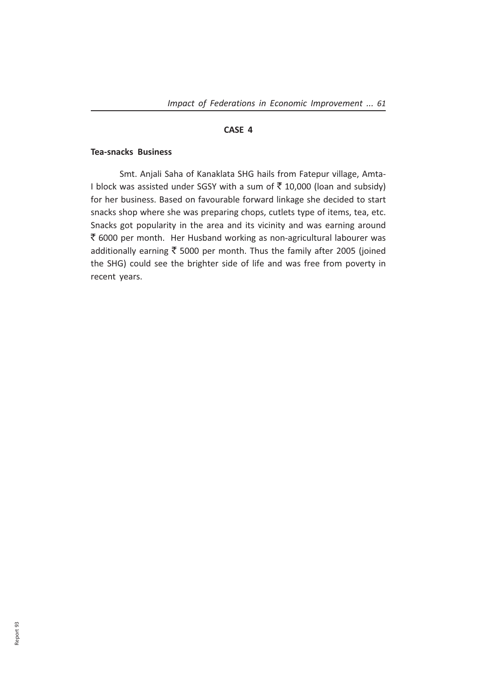# CASE 4

### Tea-snacks Business

Smt. Anjali Saha of Kanaklata SHG hails from Fatepur village, Amta-I block was assisted under SGSY with a sum of  $\bar{\tau}$  10,000 (loan and subsidy) for her business. Based on favourable forward linkage she decided to start snacks shop where she was preparing chops, cutlets type of items, tea, etc. Snacks got popularity in the area and its vicinity and was earning around  $\bar{\tau}$  6000 per month. Her Husband working as non-agricultural labourer was additionally earning  $\bar{\tau}$  5000 per month. Thus the family after 2005 (joined the SHG) could see the brighter side of life and was free from poverty in recent years.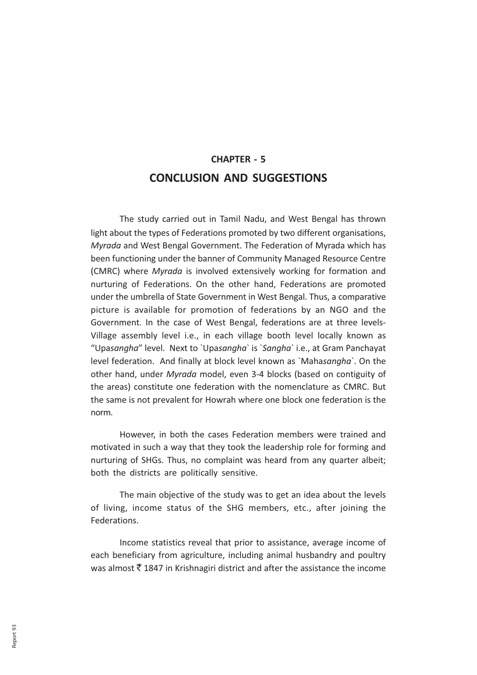# CHAPTER - 5 CONCLUSION AND SUGGESTIONS

The study carried out in Tamil Nadu, and West Bengal has thrown light about the types of Federations promoted by two different organisations, Myrada and West Bengal Government. The Federation of Myrada which has been functioning under the banner of Community Managed Resource Centre (CMRC) where Myrada is involved extensively working for formation and nurturing of Federations. On the other hand, Federations are promoted under the umbrella of State Government in West Bengal. Thus, a comparative picture is available for promotion of federations by an NGO and the Government. In the case of West Bengal, federations are at three levels-Village assembly level i.e., in each village booth level locally known as "Upasangha" level. Next to `Upasangha` is `Sangha` i.e., at Gram Panchayat level federation. And finally at block level known as `Mahasangha`. On the other hand, under Myrada model, even 3-4 blocks (based on contiguity of the areas) constitute one federation with the nomenclature as CMRC. But the same is not prevalent for Howrah where one block one federation is the norm.

However, in both the cases Federation members were trained and motivated in such a way that they took the leadership role for forming and nurturing of SHGs. Thus, no complaint was heard from any quarter albeit; both the districts are politically sensitive.

The main objective of the study was to get an idea about the levels of living, income status of the SHG members, etc., after joining the Federations.

Income statistics reveal that prior to assistance, average income of each beneficiary from agriculture, including animal husbandry and poultry was almost  $\bar{\tau}$  1847 in Krishnagiri district and after the assistance the income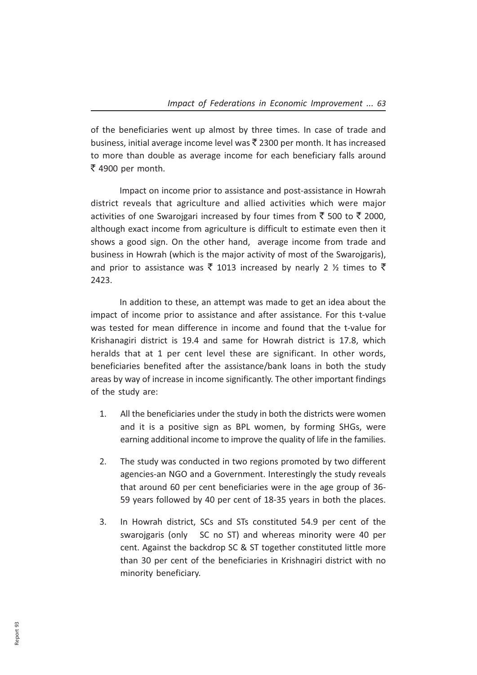of the beneficiaries went up almost by three times. In case of trade and business, initial average income level was  $\bar{z}$  2300 per month. It has increased to more than double as average income for each beneficiary falls around  $\bar{\tau}$  4900 per month.

Impact on income prior to assistance and post-assistance in Howrah district reveals that agriculture and allied activities which were major activities of one Swarojgari increased by four times from  $\bar{\tau}$  500 to  $\bar{\tau}$  2000, although exact income from agriculture is difficult to estimate even then it shows a good sign. On the other hand, average income from trade and business in Howrah (which is the major activity of most of the Swarojgaris), and prior to assistance was  $\bar{\tau}$  1013 increased by nearly 2  $\frac{1}{2}$  times to  $\bar{\tau}$ 2423.

In addition to these, an attempt was made to get an idea about the impact of income prior to assistance and after assistance. For this t-value was tested for mean difference in income and found that the t-value for Krishanagiri district is 19.4 and same for Howrah district is 17.8, which heralds that at 1 per cent level these are significant. In other words, beneficiaries benefited after the assistance/bank loans in both the study areas by way of increase in income significantly. The other important findings of the study are:

- 1. All the beneficiaries under the study in both the districts were women and it is a positive sign as BPL women, by forming SHGs, were earning additional income to improve the quality of life in the families.
- 2. The study was conducted in two regions promoted by two different agencies-an NGO and a Government. Interestingly the study reveals that around 60 per cent beneficiaries were in the age group of 36- 59 years followed by 40 per cent of 18-35 years in both the places.
- 3. In Howrah district, SCs and STs constituted 54.9 per cent of the swarojgaris (only SC no ST) and whereas minority were 40 per cent. Against the backdrop SC & ST together constituted little more than 30 per cent of the beneficiaries in Krishnagiri district with no minority beneficiary.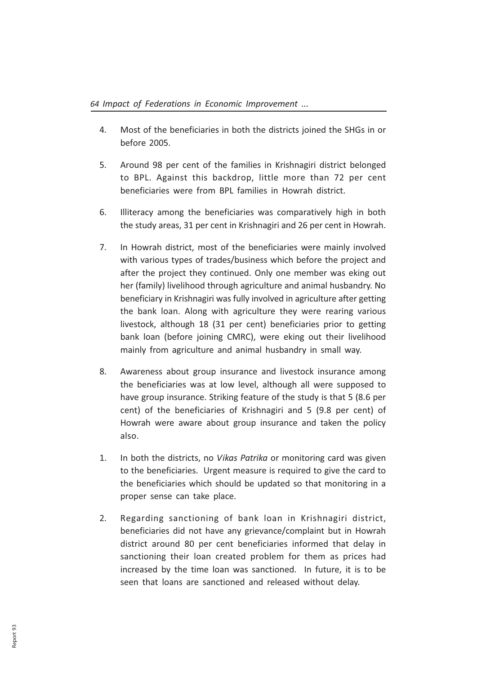- 4. Most of the beneficiaries in both the districts joined the SHGs in or before 2005.
- 5. Around 98 per cent of the families in Krishnagiri district belonged to BPL. Against this backdrop, little more than 72 per cent beneficiaries were from BPL families in Howrah district.
- 6. Illiteracy among the beneficiaries was comparatively high in both the study areas, 31 per cent in Krishnagiri and 26 per cent in Howrah.
- 7. In Howrah district, most of the beneficiaries were mainly involved with various types of trades/business which before the project and after the project they continued. Only one member was eking out her (family) livelihood through agriculture and animal husbandry. No beneficiary in Krishnagiri was fully involved in agriculture after getting the bank loan. Along with agriculture they were rearing various livestock, although 18 (31 per cent) beneficiaries prior to getting bank loan (before joining CMRC), were eking out their livelihood mainly from agriculture and animal husbandry in small way.
- 8. Awareness about group insurance and livestock insurance among the beneficiaries was at low level, although all were supposed to have group insurance. Striking feature of the study is that 5 (8.6 per cent) of the beneficiaries of Krishnagiri and 5 (9.8 per cent) of Howrah were aware about group insurance and taken the policy also.
- 1. In both the districts, no Vikas Patrika or monitoring card was given to the beneficiaries. Urgent measure is required to give the card to the beneficiaries which should be updated so that monitoring in a proper sense can take place.
- 2. Regarding sanctioning of bank loan in Krishnagiri district, beneficiaries did not have any grievance/complaint but in Howrah district around 80 per cent beneficiaries informed that delay in sanctioning their loan created problem for them as prices had increased by the time loan was sanctioned. In future, it is to be seen that loans are sanctioned and released without delay.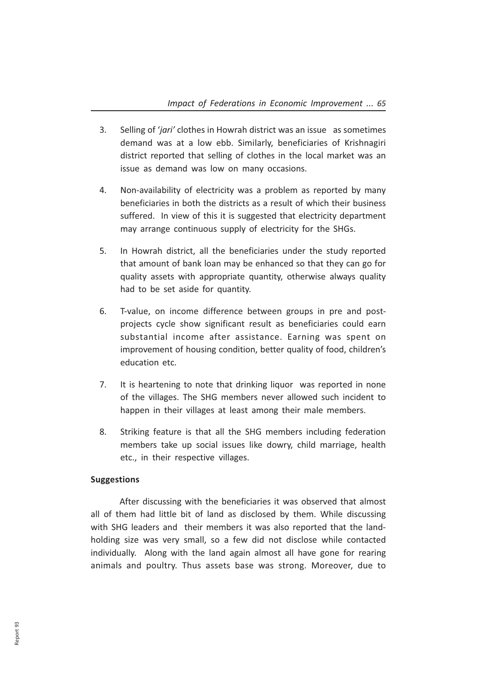- 3. Selling of *'igri'* clothes in Howrah district was an issue as sometimes demand was at a low ebb. Similarly, beneficiaries of Krishnagiri district reported that selling of clothes in the local market was an issue as demand was low on many occasions.
- 4. Non-availability of electricity was a problem as reported by many beneficiaries in both the districts as a result of which their business suffered. In view of this it is suggested that electricity department may arrange continuous supply of electricity for the SHGs.
- 5. In Howrah district, all the beneficiaries under the study reported that amount of bank loan may be enhanced so that they can go for quality assets with appropriate quantity, otherwise always quality had to be set aside for quantity.
- 6. T-value, on income difference between groups in pre and postprojects cycle show significant result as beneficiaries could earn substantial income after assistance. Earning was spent on improvement of housing condition, better quality of food, children's education etc.
- 7. It is heartening to note that drinking liquor was reported in none of the villages. The SHG members never allowed such incident to happen in their villages at least among their male members.
- 8. Striking feature is that all the SHG members including federation members take up social issues like dowry, child marriage, health etc., in their respective villages.

# Suggestions

After discussing with the beneficiaries it was observed that almost all of them had little bit of land as disclosed by them. While discussing with SHG leaders and their members it was also reported that the landholding size was very small, so a few did not disclose while contacted individually. Along with the land again almost all have gone for rearing animals and poultry. Thus assets base was strong. Moreover, due to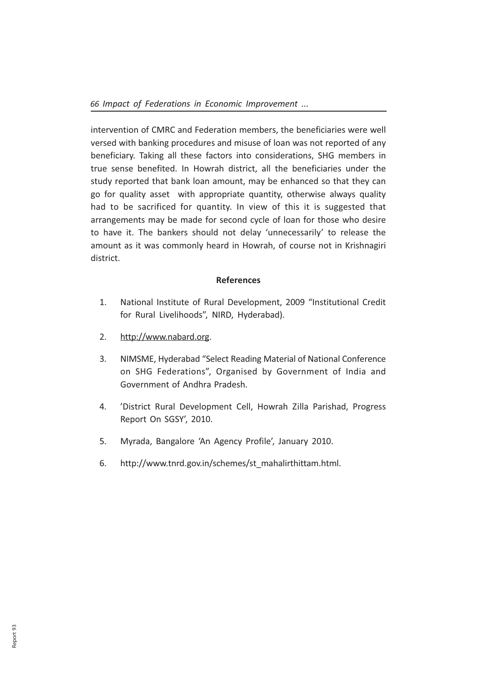intervention of CMRC and Federation members, the beneficiaries were well versed with banking procedures and misuse of loan was not reported of any beneficiary. Taking all these factors into considerations, SHG members in true sense benefited. In Howrah district, all the beneficiaries under the study reported that bank loan amount, may be enhanced so that they can go for quality asset with appropriate quantity, otherwise always quality had to be sacrificed for quantity. In view of this it is suggested that arrangements may be made for second cycle of loan for those who desire to have it. The bankers should not delay 'unnecessarily' to release the amount as it was commonly heard in Howrah, of course not in Krishnagiri district.

# **References**

- 1. National Institute of Rural Development, 2009 "Institutional Credit for Rural Livelihoods", NIRD, Hyderabad).
- 2. http://www.nabard.org.
- 3. NIMSME, Hyderabad "Select Reading Material of National Conference on SHG Federations", Organised by Government of India and Government of Andhra Pradesh.
- 4. 'District Rural Development Cell, Howrah Zilla Parishad, Progress Report On SGSY', 2010.
- 5. Myrada, Bangalore 'An Agency Profile', January 2010.
- 6. http://www.tnrd.gov.in/schemes/st\_mahalirthittam.html.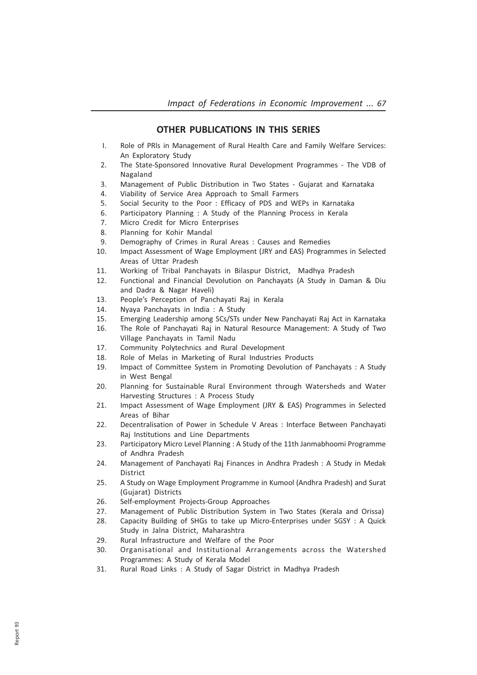### OTHER PUBLICATIONS IN THIS SERIES

- I. Role of PRls in Management of Rural Health Care and Family Welfare Services: An Exploratory Study
- 2. The State-Sponsored Innovative Rural Development Programmes The VDB of Nagaland
- 3. Management of Public Distribution in Two States Gujarat and Karnataka
- 4. Viability of Service Area Approach to Small Farmers
- 5. Social Security to the Poor : Efficacy of PDS and WEPs in Karnataka
- 6. Participatory Planning : A Study of the Planning Process in Kerala
- 7. Micro Credit for Micro Enterprises
- 8. Planning for Kohir Mandal
- 9. Demography of Crimes in Rural Areas : Causes and Remedies
- 10. Impact Assessment of Wage Employment (JRY and EAS) Programmes in Selected Areas of Uttar Pradesh
- 11. Working of Tribal Panchayats in Bilaspur District, Madhya Pradesh
- 12. Functional and Financial Devolution on Panchayats (A Study in Daman & Diu and Dadra & Nagar Haveli)
- 13. People's Perception of Panchayati Raj in Kerala
- 14. Nyaya Panchayats in India : A Study
- 15. Emerging Leadership among SCs/STs under New Panchayati Raj Act in Karnataka
- 16. The Role of Panchayati Raj in Natural Resource Management: A Study of Two Village Panchayats in Tamil Nadu
- 17. Community Polytechnics and Rural Development
- 18. Role of Melas in Marketing of Rural Industries Products
- 19. Impact of Committee System in Promoting Devolution of Panchayats : A Study in West Bengal
- 20. Planning for Sustainable Rural Environment through Watersheds and Water Harvesting Structures : A Process Study
- 21. Impact Assessment of Wage Employment (JRY & EAS) Programmes in Selected Areas of Bihar
- 22. Decentralisation of Power in Schedule V Areas : Interface Between Panchayati Raj Institutions and Line Departments
- 23. Participatory Micro Level Planning : A Study of the 11th Janmabhoomi Programme of Andhra Pradesh
- 24. Management of Panchayati Raj Finances in Andhra Pradesh : A Study in Medak District
- 25. A Study on Wage Employment Programme in Kumool (Andhra Pradesh) and Surat (Gujarat) Districts
- 26. Self-employment Projects-Group Approaches
- 27. Management of Public Distribution System in Two States (Kerala and Orissa)
- 28. Capacity Building of SHGs to take up Micro-Enterprises under SGSY : A Quick Study in Jalna District, Maharashtra
- 29. Rural Infrastructure and Welfare of the Poor
- 30. Organisational and Institutional Arrangements across the Watershed Programmes: A Study of Kerala Model
- 31. Rural Road Links : A Study of Sagar District in Madhya Pradesh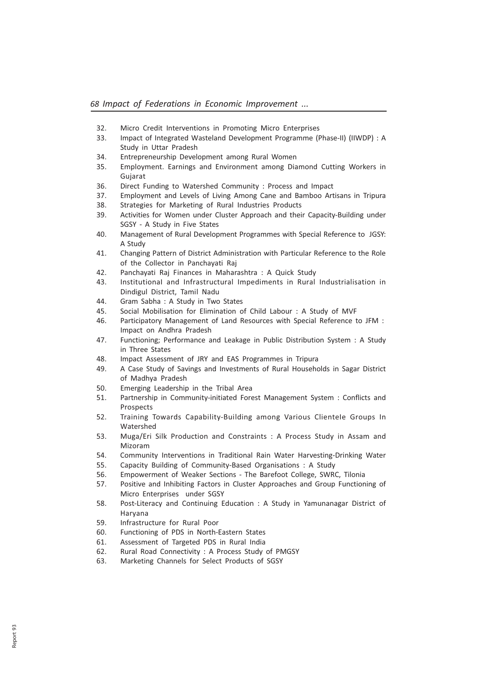- 32. Micro Credit Interventions in Promoting Micro Enterprises
- 33. Impact of Integrated Wasteland Development Programme (Phase-II) (IIWDP) : A Study in Uttar Pradesh
- 34. Entrepreneurship Development among Rural Women
- 35. Employment. Earnings and Environment among Diamond Cutting Workers in Gujarat
- 36. Direct Funding to Watershed Community : Process and Impact
- 37. Employment and Levels of Living Among Cane and Bamboo Artisans in Tripura
- 38. Strategies for Marketing of Rural Industries Products
- 39. Activities for Women under Cluster Approach and their Capacity-Building under SGSY - A Study in Five States
- 40. Management of Rural Development Programmes with Special Reference to JGSY: A Study
- 41. Changing Pattern of District Administration with Particular Reference to the Role of the Collector in Panchayati Raj
- 42. Panchayati Raj Finances in Maharashtra : A Quick Study
- 43. InstitutionaI and Infrastructural Impediments in Rural Industrialisation in Dindigul District, Tamil Nadu
- 44. Gram Sabha : A Study in Two States
- 45. Social Mobilisation for Elimination of Child Labour : A Study of MVF
- 46. Participatory Management of Land Resources with Special Reference to JFM : Impact on Andhra Pradesh
- 47. Functioning; Performance and Leakage in Public Distribution System : A Study in Three States
- 48. Impact Assessment of JRY and EAS Programmes in Tripura
- 49. A Case Study of Savings and Investments of Rural Households in Sagar District of Madhya Pradesh
- 50. Emerging Leadership in the Tribal Area
- 51. Partnership in Community-initiated Forest Management System : Conflicts and Prospects
- 52. Training Towards Capability-Building among Various Clientele Groups In Watershed
- 53. Muga/Eri Silk Production and Constraints : A Process Study in Assam and Mizoram
- 54. Community Interventions in Traditional Rain Water Harvesting-Drinking Water
- 55. Capacity Building of Community-Based Organisations : A Study
- 56. Empowerment of Weaker Sections The Barefoot College, SWRC, Tilonia
- 57. Positive and Inhibiting Factors in Cluster Approaches and Group Functioning of Micro Enterprises under SGSY
- 58. Post-Literacy and Continuing Education : A Study in Yamunanagar District of Haryana
- 59. Infrastructure for Rural Poor
- 60. Functioning of PDS in North-Eastern States
- 61. Assessment of Targeted PDS in Rural India
- 62. Rural Road Connectivity : A Process Study of PMGSY
- 63. Marketing Channels for Select Products of SGSY